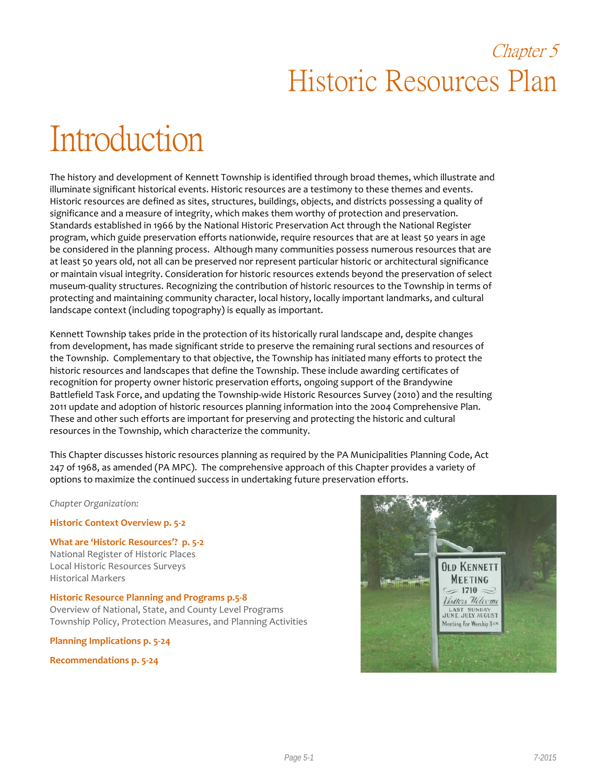## Chapter 5 Historic Resources Plan

# Introduction

The history and development of Kennett Township is identified through broad themes, which illustrate and illuminate significant historical events. Historic resources are a testimony to these themes and events. Historic resources are defined as sites, structures, buildings, objects, and districts possessing a quality of significance and a measure of integrity, which makes them worthy of protection and preservation. Standards established in 1966 by the National Historic Preservation Act through the National Register program, which guide preservation efforts nationwide, require resources that are at least 50 years in age be considered in the planning process. Although many communities possess numerous resources that are at least 50 years old, not all can be preserved nor represent particular historic or architectural significance or maintain visual integrity. Consideration for historic resources extends beyond the preservation of select museum-quality structures. Recognizing the contribution of historic resources to the Township in terms of protecting and maintaining community character, local history, locally important landmarks, and cultural landscape context (including topography) is equally as important.

Kennett Township takes pride in the protection of its historically rural landscape and, despite changes from development, has made significant stride to preserve the remaining rural sections and resources of the Township. Complementary to that objective, the Township has initiated many efforts to protect the historic resources and landscapes that define the Township. These include awarding certificates of recognition for property owner historic preservation efforts, ongoing support of the Brandywine Battlefield Task Force, and updating the Township-wide Historic Resources Survey (2010) and the resulting 2011 update and adoption of historic resources planning information into the 2004 Comprehensive Plan. These and other such efforts are important for preserving and protecting the historic and cultural resources in the Township, which characterize the community.

This Chapter discusses historic resources planning as required by the PA Municipalities Planning Code, Act 247 of 1968, as amended (PA MPC). The comprehensive approach of this Chapter provides a variety of options to maximize the continued success in undertaking future preservation efforts.

*Chapter Organization:*

**Historic Context Overview p. 5-2**

**What are 'Historic Resources'? p. 5-2** National Register of Historic Places Local Historic Resources Surveys Historical Markers

**Historic Resource Planning and Programs p.5-8** Overview of National, State, and County Level Programs Township Policy, Protection Measures, and Planning Activities

**Planning Implications p. 5-24**

**Recommendations p. 5-24**

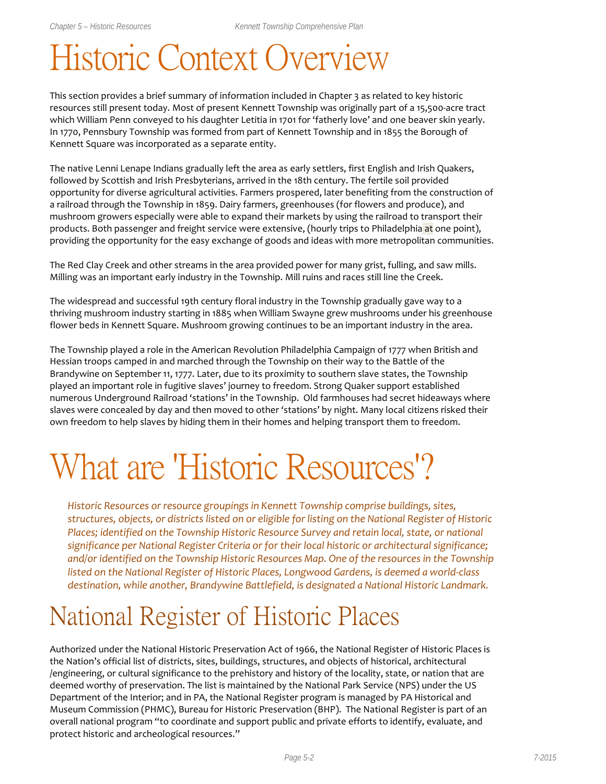# Historic Context Overview

This section provides a brief summary of information included in Chapter 3 as related to key historic resources still present today. Most of present Kennett Township was originally part of a 15,500-acre tract which William Penn conveyed to his daughter Letitia in 1701 for 'fatherly love' and one beaver skin yearly. In 1770, Pennsbury Township was formed from part of Kennett Township and in 1855 the Borough of Kennett Square was incorporated as a separate entity.

The native Lenni Lenape Indians gradually left the area as early settlers, first English and Irish Quakers, followed by Scottish and Irish Presbyterians, arrived in the 18th century. The fertile soil provided opportunity for diverse agricultural activities. Farmers prospered, later benefiting from the construction of a railroad through the Township in 1859. Dairy farmers, greenhouses (for flowers and produce), and mushroom growers especially were able to expand their markets by using the railroad to transport their products. Both passenger and freight service were extensive, (hourly trips to Philadelphia at one point), providing the opportunity for the easy exchange of goods and ideas with more metropolitan communities.

The Red Clay Creek and other streams in the area provided power for many grist, fulling, and saw mills. Milling was an important early industry in the Township. Mill ruins and races still line the Creek.

The widespread and successful 19th century floral industry in the Township gradually gave way to a thriving mushroom industry starting in 1885 when William Swayne grew mushrooms under his greenhouse flower beds in Kennett Square. Mushroom growing continues to be an important industry in the area.

The Township played a role in the American Revolution Philadelphia Campaign of 1777 when British and Hessian troops camped in and marched through the Township on their way to the Battle of the Brandywine on September 11, 1777. Later, due to its proximity to southern slave states, the Township played an important role in fugitive slaves' journey to freedom. Strong Quaker support established numerous Underground Railroad 'stations' in the Township. Old farmhouses had secret hideaways where slaves were concealed by day and then moved to other 'stations' by night. Many local citizens risked their own freedom to help slaves by hiding them in their homes and helping transport them to freedom.

# What are 'Historic Resources'?

*Historic Resources or resource groupings in Kennett Township comprise buildings, sites, structures, objects, or districts listed on or eligible for listing on the National Register of Historic Places; identified on the Township Historic Resource Survey and retain local, state, or national significance per National Register Criteria or for their local historic or architectural significance; and/or identified on the Township Historic Resources Map. One of the resources in the Township listed on the National Register of Historic Places, Longwood Gardens, is deemed a world-class destination, while another, Brandywine Battlefield, is designated a National Historic Landmark.* 

## National Register of Historic Places

Authorized under the National Historic Preservation Act of 1966, the National Register of Historic Places is the Nation's official list of districts, sites, buildings, structures, and objects of historical, architectural /engineering, or cultural significance to the prehistory and history of the locality, state, or nation that are deemed worthy of preservation. The list is maintained by the National Park Service (NPS) under the US Department of the Interior; and in PA, the National Register program is managed by PA Historical and Museum Commission (PHMC), Bureau for Historic Preservation (BHP). The National Register is part of an overall national program "to coordinate and support public and private efforts to identify, evaluate, and protect historic and archeological resources."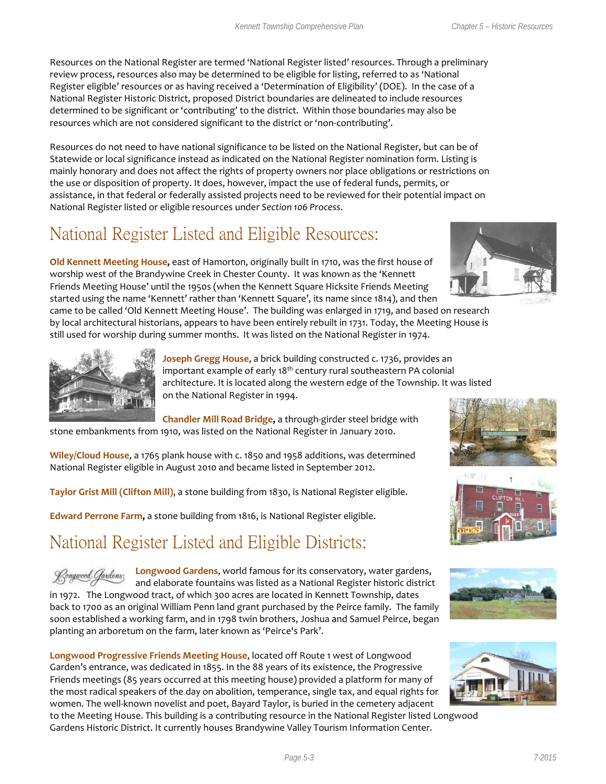Resources on the National Register are termed 'National Register listed' resources. Through a preliminary review process, resources also may be determined to be eligible for listing, referred to as 'National Register eligible' resources or as having received a 'Determination of Eligibility' (DOE). In the case of a National Register Historic District, proposed District boundaries are delineated to include resources determined to be significant or 'contributing' to the district. Within those boundaries may also be resources which are not considered significant to the district or 'non-contributing'.

Resources do not need to have national significance to be listed on the National Register, but can be of Statewide or local significance instead as indicated on the National Register nomination form. Listing is mainly honorary and does not affect the rights of property owners nor place obligations or restrictions on the use or disposition of property. It does, however, impact the use of federal funds, permits, or assistance, in that federal or federally assisted projects need to be reviewed for their potential impact on National Register listed or eligible resources under *Section 106 Process*.

## National Register Listed and Eligible Resources:

**Old Kennett Meeting House,** east of Hamorton, originally built in 1710, was the first house of worship west of the Brandywine Creek in Chester County. It was known as the 'Kennett Friends Meeting House' until the 1950s (when the Kennett Square Hicksite Friends Meeting started using the name 'Kennett' rather than 'Kennett Square', its name since 1814), and then

came to be called 'Old Kennett Meeting House'. The building was enlarged in 1719, and based on research by local architectural historians, appears to have been entirely rebuilt in 1731. Today, the Meeting House is still used for worship during summer months. It was listed on the National Register in 1974.



Joseph Gregg House, a brick building constructed c. 1736, provides an important example of early 18<sup>th</sup> century rural southeastern PA colonial architecture. It is located along the western edge of the Township. It was listed on the National Register in 1994.

**Chandler Mill Road Bridge,** a through-girder steel bridge with stone embankments from 1910, was listed on the National Register in January 2010.

**Wiley/Cloud House**, a 1765 plank house with c. 1850 and 1958 additions, was determined National Register eligible in August 2010 and became listed in September 2012.

**Taylor Grist Mill (Clifton Mill)**, a stone building from 1830, is National Register eligible.

**Edward Perrone Farm,** a stone building from 1816, is National Register eligible.

## National Register Listed and Eligible Districts:

**Longwood Gardens**, world famous for its conservatory, water gardens, Rongwood Gardens; and elaborate fountains was listed as a National Register historic district in 1972. The Longwood tract, of which 300 acres are located in Kennett Township, dates back to 1700 as an original William Penn land grant purchased by the Peirce family. The family soon established a working farm, and in 1798 twin brothers, Joshua and Samuel Peirce, began planting an arboretum on the farm, later known as 'Peirce's Park'.

**Longwood Progressive Friends Meeting House**, located off Route 1 west of Longwood Garden's entrance, was dedicated in 1855. In the 88 years of its existence, the Progressive Friends meetings (85 years occurred at this meeting house) provided a platform for many of the most radical speakers of the day on abolition, temperance, single tax, and equal rights for women. The well-known novelist and poet, Bayard Taylor, is buried in the cemetery adjacent to the Meeting House. This building is a contributing resource in the National Register listed Longwood

Gardens Historic District. It currently houses Brandywine Valley Tourism Information Center.









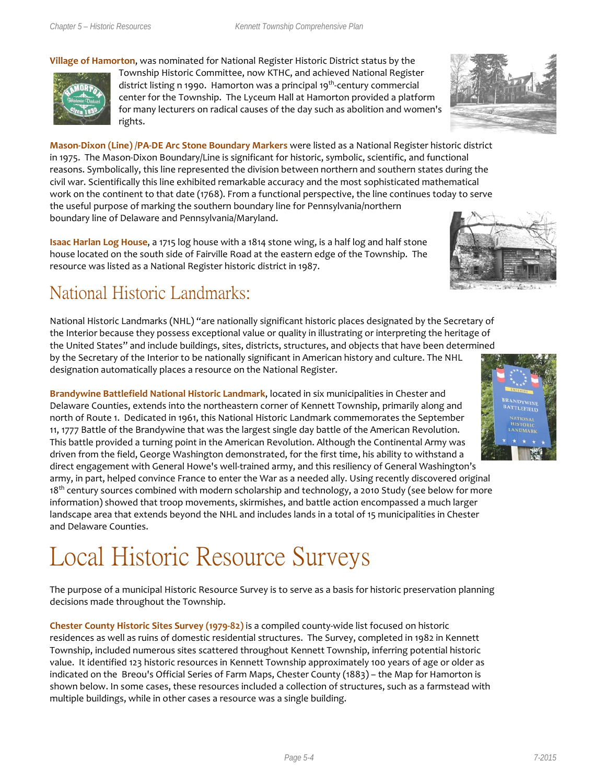#### **Village of Hamorton**, was nominated for National Register Historic District status by the



Township Historic Committee, now KTHC, and achieved National Register district listing n 1990. Hamorton was a principal 19<sup>th</sup>-century commercial center for the Township. The Lyceum Hall at Hamorton provided a platform for many lecturers on radical causes of the day such as abolition and women's rights.

**Mason-Dixon (Line) /PA-DE Arc Stone Boundary Markers** were listed as a National Register historic district in 1975. The Mason-Dixon Boundary/Line is significant for historic, symbolic, scientific, and functional reasons. Symbolically, this line represented the division between northern and southern states during the civil war. Scientifically this line exhibited remarkable accuracy and the most sophisticated mathematical work on the continent to that date (1768). From a functional perspective, the line continues today to serve the useful purpose of marking the southern boundary line for Pennsylvania/northern boundary line of Delaware and Pennsylvania/Maryland.

**Isaac Harlan Log House**, a 1715 log house with a 1814 stone wing, is a half log and half stone house located on the south side of Fairville Road at the eastern edge of the Township. The resource was listed as a National Register historic district in 1987.

## National Historic Landmarks:

National Historic Landmarks (NHL) "are nationally significant historic places designated by the Secretary of the Interior because they possess exceptional value or quality in illustrating or interpreting the heritage of the United States" and include buildings, sites, districts, structures, and objects that have been determined by the Secretary of the Interior to be nationally significant in American history and culture. The NHL designation automatically places a resource on the National Register.

**Brandywine Battlefield National Historic Landmark**, located in six municipalities in Chester and Delaware Counties, extends into the northeastern corner of Kennett Township, primarily along and north of Route 1. Dedicated in 1961, this National Historic Landmark commemorates the September 11, 1777 Battle of the Brandywine that was the largest single day battle of the American Revolution. This battle provided a turning point in the American Revolution. Although the Continental Army was driven from the field, George Washington demonstrated, for the first time, his ability to withstand a direct engagement with General Howe's well-trained army, and this resiliency of General Washington's

army, in part, helped convince France to enter the War as a needed ally. Using recently discovered original  $18<sup>th</sup>$  century sources combined with modern scholarship and technology, a 2010 Study (see below for more information) showed that troop movements, skirmishes, and battle action encompassed a much larger landscape area that extends beyond the NHL and includes lands in a total of 15 municipalities in Chester and Delaware Counties.

## Local Historic Resource Surveys

The purpose of a municipal Historic Resource Survey is to serve as a basis for historic preservation planning decisions made throughout the Township.

**Chester County Historic Sites Survey (1979-82)** is a compiled county-wide list focused on historic residences as well as ruins of domestic residential structures. The Survey, completed in 1982 in Kennett Township, included numerous sites scattered throughout Kennett Township, inferring potential historic value. It identified 123 historic resources in Kennett Township approximately 100 years of age or older as indicated on the Breou's Official Series of Farm Maps, Chester County (1883) – the Map for Hamorton is shown below. In some cases, these resources included a collection of structures, such as a farmstead with multiple buildings, while in other cases a resource was a single building.





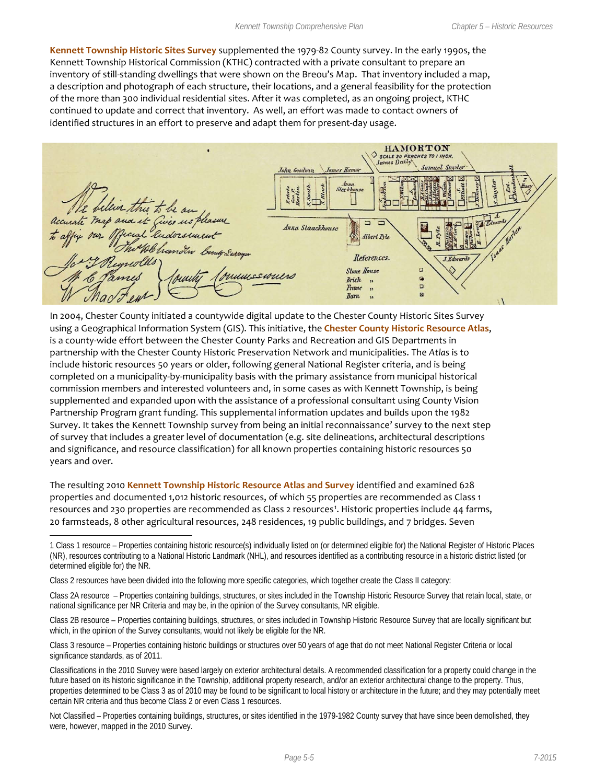**Kennett Township Historic Sites Survey** supplemented the 1979-82 County survey. In the early 1990s, the Kennett Township Historical Commission (KTHC) contracted with a private consultant to prepare an inventory of still-standing dwellings that were shown on the Breou's Map. That inventory included a map, a description and photograph of each structure, their locations, and a general feasibility for the protection of the more than 300 individual residential sites. After it was completed, as an ongoing project, KTHC continued to update and correct that inventory. As well, an effort was made to contact owners of identified structures in an effort to preserve and adapt them for present-day usage.

HAMORTON ♦ SCALE 20 PERCHES TO I INCH.  $Stachb$ Ø his to map and it Gives us, 5 Anna Slaackhouse Albert Rile References. I. Edwards **Stone House** d muneswund q **Brick**  $,$  $\Box$ Frame  $\mathbf{v}$  $\overline{a}$ **Barn**  $\ddot{\phantom{1}}$ 

In 2004, Chester County initiated a countywide digital update to the Chester County Historic Sites Survey using a Geographical Information System (GIS). This initiative, the **Chester County Historic Resource Atlas**, is a county-wide effort between the Chester County Parks and Recreation and GIS Departments in partnership with the Chester County Historic Preservation Network and municipalities. The *Atlas* is to include historic resources 50 years or older, following general National Register criteria, and is being completed on a municipality-by-municipality basis with the primary assistance from municipal historical commission members and interested volunteers and, in some cases as with Kennett Township, is being supplemented and expanded upon with the assistance of a professional consultant using County Vision Partnership Program grant funding. This supplemental information updates and builds upon the 1982 Survey. It takes the Kennett Township survey from being an initial reconnaissance' survey to the next step of survey that includes a greater level of documentation (e.g. site delineations, architectural descriptions and significance, and resource classification) for all known properties containing historic resources 50 years and over.

The resulting 2010 **Kennett Township Historic Resource Atlas and Survey** identified and examined 628 properties and documented 1,012 historic resources, of which 55 properties are recommended as Class 1 resources and 230 properties are recommended as Class 2 resources<sup>[1](#page-4-0)</sup>. Historic properties include 44 farms, 20 farmsteads, 8 other agricultural resources, 248 residences, 19 public buildings, and 7 bridges. Seven

Class 2 resources have been divided into the following more specific categories, which together create the Class II category:

 $\overline{a}$ 

Class 2A resource – Properties containing buildings, structures, or sites included in the Township Historic Resource Survey that retain local, state, or national significance per NR Criteria and may be, in the opinion of the Survey consultants, NR eligible.

Class 2B resource – Properties containing buildings, structures, or sites included in Township Historic Resource Survey that are locally significant but which, in the opinion of the Survey consultants, would not likely be eligible for the NR.

Class 3 resource – Properties containing historic buildings or structures over 50 years of age that do not meet National Register Criteria or local significance standards, as of 2011.

Classifications in the 2010 Survey were based largely on exterior architectural details. A recommended classification for a property could change in the future based on its historic significance in the Township, additional property research, and/or an exterior architectural change to the property. Thus, properties determined to be Class 3 as of 2010 may be found to be significant to local history or architecture in the future; and they may potentially meet certain NR criteria and thus become Class 2 or even Class 1 resources.

Not Classified – Properties containing buildings, structures, or sites identified in the 1979-1982 County survey that have since been demolished, they were, however, mapped in the 2010 Survey.

<span id="page-4-0"></span><sup>1</sup> Class 1 resource – Properties containing historic resource(s) individually listed on (or determined eligible for) the National Register of Historic Places (NR), resources contributing to a National Historic Landmark (NHL), and resources identified as a contributing resource in a historic district listed (or determined eligible for) the NR.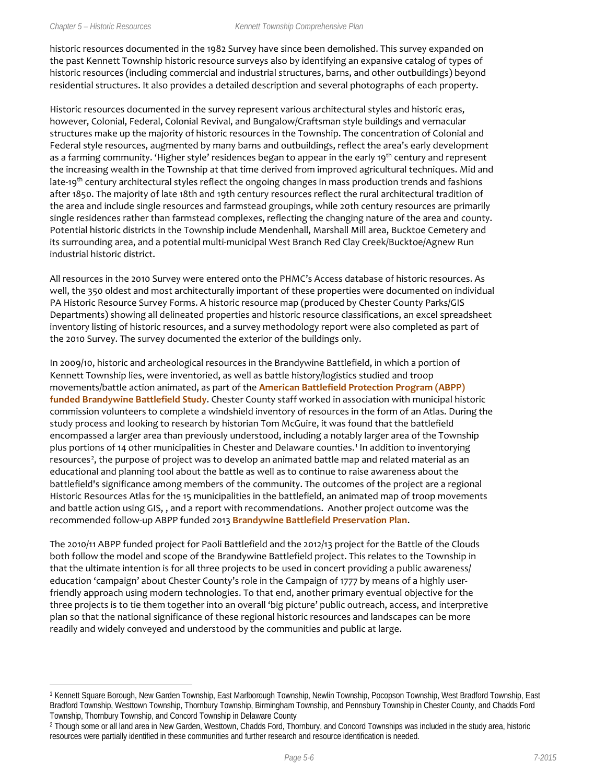$\overline{a}$ 

historic resources documented in the 1982 Survey have since been demolished. This survey expanded on the past Kennett Township historic resource surveys also by identifying an expansive catalog of types of historic resources (including commercial and industrial structures, barns, and other outbuildings) beyond residential structures. It also provides a detailed description and several photographs of each property.

Historic resources documented in the survey represent various architectural styles and historic eras, however, Colonial, Federal, Colonial Revival, and Bungalow/Craftsman style buildings and vernacular structures make up the majority of historic resources in the Township. The concentration of Colonial and Federal style resources, augmented by many barns and outbuildings, reflect the area's early development as a farming community. 'Higher style' residences began to appear in the early 19<sup>th</sup> century and represent the increasing wealth in the Township at that time derived from improved agricultural techniques. Mid and late-19<sup>th</sup> century architectural styles reflect the ongoing changes in mass production trends and fashions after 1850. The majority of late 18th and 19th century resources reflect the rural architectural tradition of the area and include single resources and farmstead groupings, while 20th century resources are primarily single residences rather than farmstead complexes, reflecting the changing nature of the area and county. Potential historic districts in the Township include Mendenhall, Marshall Mill area, Bucktoe Cemetery and its surrounding area, and a potential multi-municipal West Branch Red Clay Creek/Bucktoe/Agnew Run industrial historic district.

All resources in the 2010 Survey were entered onto the PHMC's Access database of historic resources. As well, the 350 oldest and most architecturally important of these properties were documented on individual PA Historic Resource Survey Forms. A historic resource map (produced by Chester County Parks/GIS Departments) showing all delineated properties and historic resource classifications, an excel spreadsheet inventory listing of historic resources, and a survey methodology report were also completed as part of the 2010 Survey. The survey documented the exterior of the buildings only.

In 2009/10, historic and archeological resources in the Brandywine Battlefield, in which a portion of Kennett Township lies, were inventoried, as well as battle history/logistics studied and troop movements/battle action animated, as part of the **American Battlefield Protection Program (ABPP) funded Brandywine Battlefield Study**. Chester County staff worked in association with municipal historic commission volunteers to complete a windshield inventory of resources in the form of an Atlas. During the study process and looking to research by historian Tom McGuire, it was found that the battlefield encompassed a larger area than previously understood, including a notably larger area of the Township plus portions of 14 other municipalities in Chester and Delaware counties. [1](#page-5-0) In addition to inventorying resources<sup>[2](#page-5-1)</sup>, the purpose of project was to develop an animated battle map and related material as an educational and planning tool about the battle as well as to continue to raise awareness about the battlefield's significance among members of the community. The outcomes of the project are a regional Historic Resources Atlas for the 15 municipalities in the battlefield, an animated map of troop movements and battle action using GIS, , and a report with recommendations. Another project outcome was the recommended follow-up ABPP funded 2013 **Brandywine Battlefield Preservation Plan**.

The 2010/11 ABPP funded project for Paoli Battlefield and the 2012/13 project for the Battle of the Clouds both follow the model and scope of the Brandywine Battlefield project. This relates to the Township in that the ultimate intention is for all three projects to be used in concert providing a public awareness/ education 'campaign' about Chester County's role in the Campaign of 1777 by means of a highly userfriendly approach using modern technologies. To that end, another primary eventual objective for the three projects is to tie them together into an overall 'big picture' public outreach, access, and interpretive plan so that the national significance of these regional historic resources and landscapes can be more readily and widely conveyed and understood by the communities and public at large.

<span id="page-5-0"></span><sup>1</sup> Kennett Square Borough, New Garden Township, East Marlborough Township, Newlin Township, Pocopson Township, West Bradford Township, East Bradford Township, Westtown Township, Thornbury Township, Birmingham Township, and Pennsbury Township in Chester County, and Chadds Ford Township, Thornbury Township, and Concord Township in Delaware County

<span id="page-5-1"></span><sup>&</sup>lt;sup>2</sup> Though some or all land area in New Garden, Westtown, Chadds Ford, Thornbury, and Concord Townships was included in the study area, historic resources were partially identified in these communities and further research and resource identification is needed.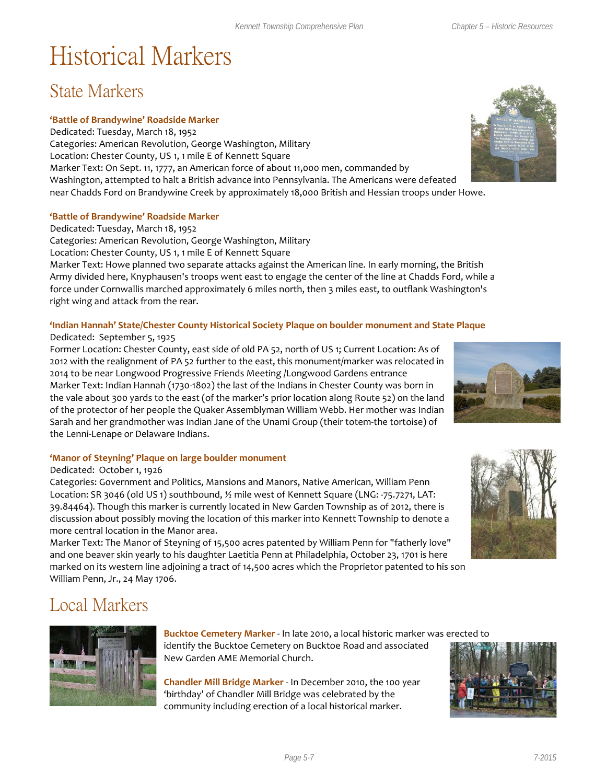## Historical Markers

### State Markers

#### **'Battle of Brandywine' Roadside Marker**

Dedicated: Tuesday, March 18, 1952 Categories: American Revolution, George Washington, Military Location: Chester County, US 1, 1 mile E of Kennett Square Marker Text: On Sept. 11, 1777, an American force of about 11,000 men, commanded by Washington, attempted to halt a British advance into Pennsylvania. The Americans were defeated near Chadds Ford on Brandywine Creek by approximately 18,000 British and Hessian troops under Howe.

#### **'Battle of Brandywine' Roadside Marker**

Dedicated: Tuesday, March 18, 1952

Categories: American Revolution, George Washington, Military

Location: Chester County, US 1, 1 mile E of Kennett Square

Marker Text: Howe planned two separate attacks against the American line. In early morning, the British Army divided here, Knyphausen's troops went east to engage the center of the line at Chadds Ford, while a force under Cornwallis marched approximately 6 miles north, then 3 miles east, to outflank Washington's right wing and attack from the rear.

#### **'Indian Hannah' State/Chester County Historical Society Plaque on boulder monument and State Plaque**

#### Dedicated: September 5, 1925

Former Location: Chester County, east side of old PA 52, north of US 1; Current Location: As of 2012 with the realignment of PA 52 further to the east, this monument/marker was relocated in 2014 to be near Longwood Progressive Friends Meeting /Longwood Gardens entrance Marker Text: Indian Hannah (1730-1802) the last of the Indians in Chester County was born in the vale about 300 yards to the east (of the marker's prior location along Route 52) on the land of the protector of her people the Quaker Assemblyman William Webb. Her mother was Indian Sarah and her grandmother was Indian Jane of the Unami Group (their totem-the tortoise) of the Lenni-Lenape or Delaware Indians.

#### **'Manor of Steyning' Plaque on large boulder monument**

#### Dedicated: October 1, 1926

Categories: Government and Politics, Mansions and Manors, Native American, William Penn Location: SR 3046 (old US 1) southbound, ½ mile west of Kennett Square (LNG: -75.7271, LAT: 39.84464). Though this marker is currently located in New Garden Township as of 2012, there is discussion about possibly moving the location of this marker into Kennett Township to denote a more central location in the Manor area.

Marker Text: The Manor of Steyning of 15,500 acres patented by William Penn for "fatherly love" and one beaver skin yearly to his daughter Laetitia Penn at Philadelphia, October 23, 1701 is here marked on its western line adjoining a tract of 14,500 acres which the Proprietor patented to his son William Penn, Jr., 24 May 1706.

## Local Markers

**Bucktoe Cemetery Marker** - In late 2010, a local historic marker was erected to identify the Bucktoe Cemetery on Bucktoe Road and associated

New Garden AME Memorial Church.

**Chandler Mill Bridge Marker** - In December 2010, the 100 year 'birthday' of Chandler Mill Bridge was celebrated by the community including erection of a local historical marker.







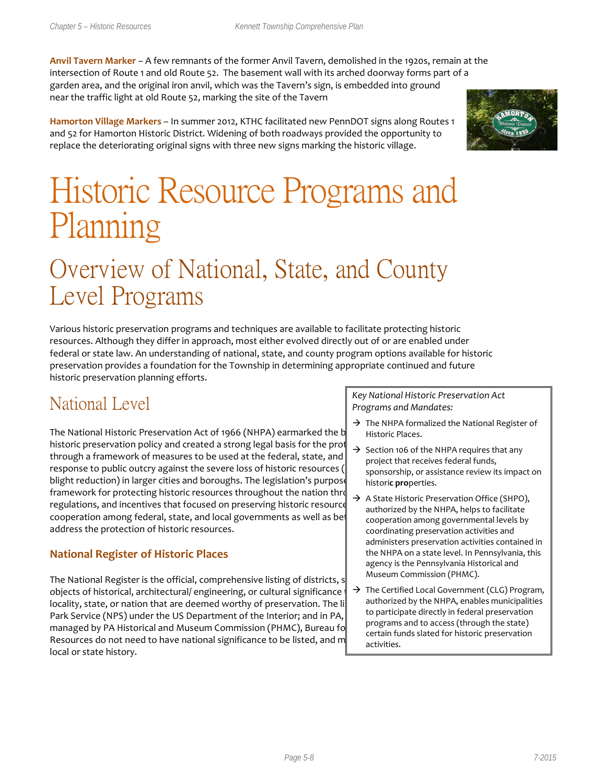**Anvil Tavern Marker** – A few remnants of the former Anvil Tavern, demolished in the 1920s, remain at the intersection of Route 1 and old Route 52. The basement wall with its arched doorway forms part of a garden area, and the original iron anvil, which was the Tavern's sign, is embedded into ground near the traffic light at old Route 52, marking the site of the Tavern

**Hamorton Village Markers** – In summer 2012, KTHC facilitated new PennDOT signs along Routes 1 and 52 for Hamorton Historic District. Widening of both roadways provided the opportunity to replace the deteriorating original signs with three new signs marking the historic village.



# Historic Resource Programs and Planning

## Overview of National, State, and County Level Programs

Various historic preservation programs and techniques are available to facilitate protecting historic resources. Although they differ in approach, most either evolved directly out of or are enabled under federal or state law. An understanding of national, state, and county program options available for historic preservation provides a foundation for the Township in determining appropriate continued and future historic preservation planning efforts.

## National Level

The National Historic Preservation Act of 1966 (NHPA) earmarked the b historic preservation policy and created a strong legal basis for the prot through a framework of measures to be used at the federal, state, and response to public outcry against the severe loss of historic resources ( blight reduction) in larger cities and boroughs. The legislation's purpos framework for protecting historic resources throughout the nation through a system of reviews, the reading  $\alpha$ regulations, and incentives that focused on preserving historic resource cooperation among federal, state, and local governments as well as bet address the protection of historic resources.

#### **National Register of Historic Places**

The National Register is the official, comprehensive listing of districts, structures, structures, structures, s objects of historical, architectural/ engineering, or cultural significance locality, state, or nation that are deemed worthy of preservation. The li Park Service (NPS) under the US Department of the Interior; and in PA, managed by PA Historical and Museum Commission (PHMC), Bureau for Resources do not need to have national significance to be listed, and m local or state history.

*Key National Historic Preservation Act Programs and Mandates:* 

- $\rightarrow$  The NHPA formalized the National Register of Historic Places.
- $\rightarrow$  Section 106 of the NHPA requires that any project that receives federal funds, sponsorship, or assistance review its impact on histori**c pro**perties.
- $\rightarrow$  A State Historic Preservation Office (SHPO), authorized by the NHPA, helps to facilitate cooperation among governmental levels by coordinating preservation activities and administers preservation activities contained in the NHPA on a state level. In Pennsylvania, this agency is the Pennsylvania Historical and Museum Commission (PHMC).
- $\rightarrow$  The Certified Local Government (CLG) Program, authorized by the NHPA, enables municipalities to participate directly in federal preservation programs and to access (through the state) certain funds slated for historic preservation activities.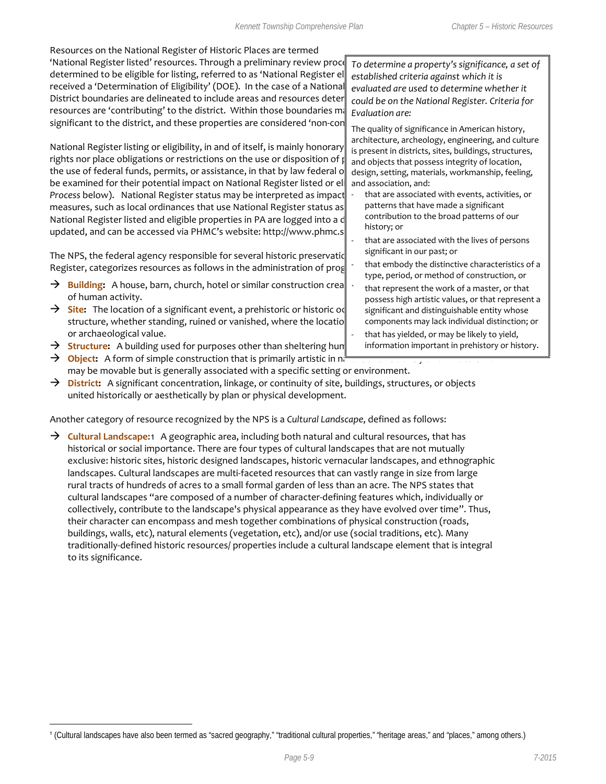Resources on the National Register of Historic Places are termed 'National Register listed' resources. Through a preliminary review proces determined to be eligible for listing, referred to as 'National Register el received a 'Determination of Eligibility' (DOE). In the case of a Nationa District boundaries are delineated to include areas and resources dete resources are 'contributing' to the district. Within those boundaries m significant to the district, and these properties are considered 'non-contribution

National Register listing or eligibility, in and of itself, is mainly honorary rights nor place obligations or restrictions on the use or disposition of property. the use of federal funds, permits, or assistance, in that by law federal or be examined for their potential impact on National Register listed or election 206 *C Process* below). National Register status may be interpreted as impact measures, such as local ordinances that use National Register status as National Register listed and eligible properties in PA are logged into a d updated, and can be accessed via PHMC's website: http://www.phmc.s

The NPS, the federal agency responsible for several historic preservation Register, categorizes resources as follows in the administration of programs:

- **Building:** A house, barn, church, hotel or similar construction creation of human activity.
- **Site:** The location of a significant event, a prehistoric or historic or structure, whether standing, ruined or vanished, where the locatio or archaeological value.
- $\rightarrow$  **Structure:** A building used for purposes other than sheltering hun

 $\overline{a}$ 

- $\rightarrow$  **Object:** A form of simple construction that is primarily artistic in nature may be movable but is generally associated with a specific setting or environment.
- → **District:** A significant concentration, linkage, or continuity of site, buildings, structures, or objects united historically or aesthetically by plan or physical development.

Another category of resource recognized by the NPS is a *Cultural Landscape*, defined as follows:

→ **Cultural Landscape**:[1](#page-8-0) A geographic area, including both natural and cultural resources, that has historical or social importance. There are four types of cultural landscapes that are not mutually exclusive: historic sites, historic designed landscapes, historic vernacular landscapes, and ethnographic landscapes. Cultural landscapes are multi-faceted resources that can vastly range in size from large rural tracts of hundreds of acres to a small formal garden of less than an acre. The NPS states that cultural landscapes "are composed of a number of character-defining features which, individually or collectively, contribute to the landscape's physical appearance as they have evolved over time". Thus, their character can encompass and mesh together combinations of physical construction (roads, buildings, walls, etc), natural elements (vegetation, etc), and/or use (social traditions, etc). Many traditionally-defined historic resources/ properties include a cultural landscape element that is integral to its significance.

<span id="page-8-0"></span><sup>1</sup> (Cultural landscapes have also been termed as "sacred geography," "traditional cultural properties," "heritage areas," and "places," among others.)

*To determine a property's significance, a set of established criteria against which it is evaluated are used to determine whether it could be on the National Register. Criteria for Evaluation are:* 

The quality of significance in American history, architecture, archeology, engineering, and culture is present in districts, sites, buildings, structures, and objects that possess integrity of location, design, setting, materials, workmanship, feeling, and association, and:

- that are associated with events, activities, or patterns that have made a significant contribution to the broad patterns of our history; or
- that are associated with the lives of persons significant in our past; or
- that embody the distinctive characteristics of a type, period, or method of construction, or
- that represent the work of a master, or that possess high artistic values, or that represent a significant and distinguishable entity whose components may lack individual distinction; or
- that has yielded, or may be likely to yield, information important in prehistory or history.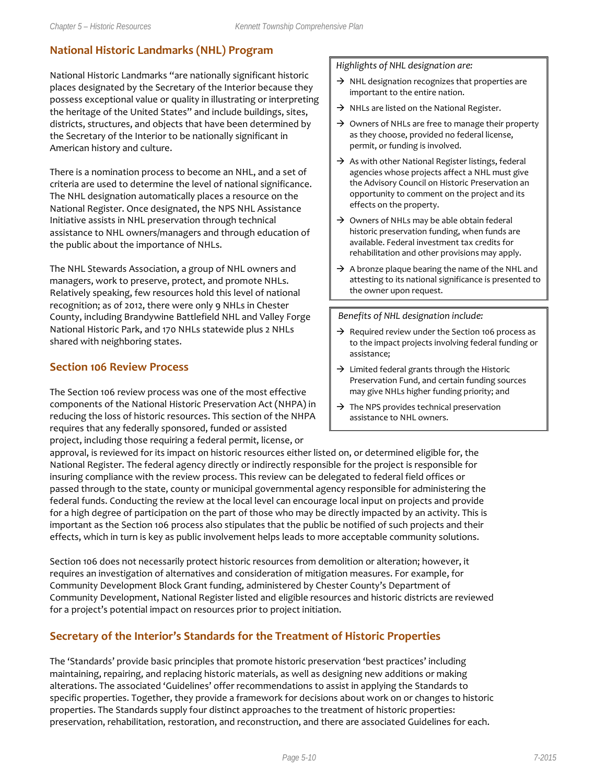#### **National Historic Landmarks (NHL) Program**

National Historic Landmarks "are nationally significant historic places designated by the Secretary of the Interior because they possess exceptional value or quality in illustrating or interpreting the heritage of the United States" and include buildings, sites, districts, structures, and objects that have been determined by the Secretary of the Interior to be nationally significant in American history and culture.

There is a nomination process to become an NHL, and a set of criteria are used to determine the level of national significance. The NHL designation automatically places a resource on the National Register. Once designated, the NPS NHL Assistance Initiative assists in NHL preservation through technical assistance to NHL owners/managers and through education of the public about the importance of NHLs.

The NHL Stewards Association, a group of NHL owners and managers, work to preserve, protect, and promote NHLs. Relatively speaking, few resources hold this level of national recognition; as of 2012, there were only 9 NHLs in Chester County, including Brandywine Battlefield NHL and Valley Forge National Historic Park, and 170 NHLs statewide plus 2 NHLs shared with neighboring states.

#### **Section 106 Review Process**

The Section 106 review process was one of the most effective components of the National Historic Preservation Act (NHPA) in reducing the loss of historic resources. This section of the NHPA requires that any federally sponsored, funded or assisted project, including those requiring a federal permit, license, or

#### *Highlights of NHL designation are:*

- $\rightarrow$  NHL designation recognizes that properties are important to the entire nation.
- $\rightarrow$  NHLs are listed on the National Register.
- $\rightarrow$  Owners of NHLs are free to manage their property as they choose, provided no federal license, permit, or funding is involved.
- $\rightarrow$  As with other National Register listings, federal agencies whose projects affect a NHL must give the Advisory Council on Historic Preservation an opportunity to comment on the project and its effects on the property.
- $\rightarrow$  Owners of NHLs may be able obtain federal historic preservation funding, when funds are available. Federal investment tax credits for rehabilitation and other provisions may apply.
- $\rightarrow$  A bronze plaque bearing the name of the NHL and attesting to its national significance is presented to the owner upon request.

#### *Benefits of NHL designation include:*

- $\rightarrow$  Required review under the Section 106 process as to the impact projects involving federal funding or assistance;
- $\rightarrow$  Limited federal grants through the Historic Preservation Fund, and certain funding sources may give NHLs higher funding priority; and
- $\rightarrow$  The NPS provides technical preservation assistance to NHL owners.

approval, is reviewed for its impact on historic resources either listed on, or determined eligible for, the National Register. The federal agency directly or indirectly responsible for the project is responsible for insuring compliance with the review process. This review can be delegated to federal field offices or passed through to the state, county or municipal governmental agency responsible for administering the federal funds. Conducting the review at the local level can encourage local input on projects and provide for a high degree of participation on the part of those who may be directly impacted by an activity. This is important as the Section 106 process also stipulates that the public be notified of such projects and their effects, which in turn is key as public involvement helps leads to more acceptable community solutions.

Section 106 does not necessarily protect historic resources from demolition or alteration; however, it requires an investigation of alternatives and consideration of mitigation measures. For example, for Community Development Block Grant funding, administered by Chester County's Department of Community Development, National Register listed and eligible resources and historic districts are reviewed for a project's potential impact on resources prior to project initiation.

#### **Secretary of the Interior's Standards for the Treatment of Historic Properties**

The 'Standards' provide basic principles that promote historic preservation 'best practices' including maintaining, repairing, and replacing historic materials, as well as designing new additions or making alterations. The associated 'Guidelines' offer recommendations to assist in applying the Standards to specific properties. Together, they provide a framework for decisions about work on or changes to historic properties. The Standards supply four distinct approaches to the treatment of historic properties: preservation, rehabilitation, restoration, and reconstruction, and there are associated Guidelines for each.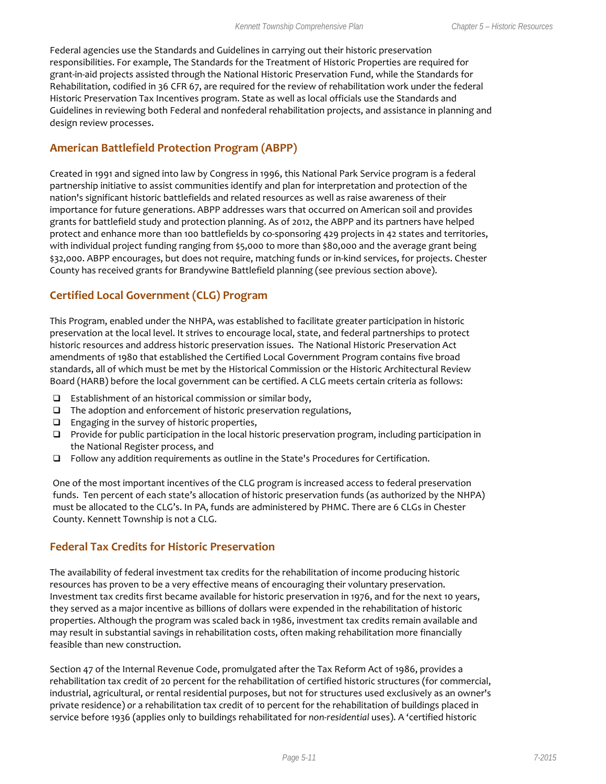Federal agencies use the Standards and Guidelines in carrying out their historic preservation responsibilities. For example, The Standards for the Treatment of Historic Properties are required for grant-in-aid projects assisted through the National Historic Preservation Fund, while the Standards for Rehabilitation, codified in 36 CFR 67, are required for the review of rehabilitation work under the federal Historic Preservation Tax Incentives program. State as well as local officials use the Standards and Guidelines in reviewing both Federal and nonfederal rehabilitation projects, and assistance in planning and design review processes.

#### **American Battlefield Protection Program (ABPP)**

Created in 1991 and signed into law by Congress in 1996, this National Park Service program is a federal partnership initiative to assist communities identify and plan for interpretation and protection of the nation's significant historic battlefields and related resources as well as raise awareness of their importance for future generations. ABPP addresses wars that occurred on American soil and provides grants for battlefield study and protection planning. As of 2012, the ABPP and its partners have helped protect and enhance more than 100 battlefields by co-sponsoring 429 projects in 42 states and territories, with individual project funding ranging from \$5,000 to more than \$80,000 and the average grant being \$32,000. ABPP encourages, but does not require, matching funds or in-kind services, for projects. Chester County has received grants for Brandywine Battlefield planning (see previous section above).

#### **Certified Local Government (CLG) Program**

This Program, enabled under the NHPA, was established to facilitate greater participation in historic preservation at the local level. It strives to encourage local, state, and federal partnerships to protect historic resources and address historic preservation issues. The National Historic Preservation Act amendments of 1980 that established the Certified Local Government Program contains five broad standards, all of which must be met by the Historical Commission or the Historic Architectural Review Board (HARB) before the local government can be certified. A CLG meets certain criteria as follows:

- $\Box$  Establishment of an historical commission or similar body,
- $\Box$  The adoption and enforcement of historic preservation regulations,
- $\Box$  Engaging in the survey of historic properties,
- Provide for public participation in the local historic preservation program, including participation in the National Register process, and
- $\Box$  Follow any addition requirements as outline in the State's Procedures for Certification.

One of the most important incentives of the CLG program is increased access to federal preservation funds. Ten percent of each state's allocation of historic preservation funds (as authorized by the NHPA) must be allocated to the CLG's. In PA, funds are administered by PHMC. There are 6 CLGs in Chester County. Kennett Township is not a CLG.

#### **Federal Tax Credits for Historic Preservation**

The availability of federal investment tax credits for the rehabilitation of income producing historic resources has proven to be a very effective means of encouraging their voluntary preservation. Investment tax credits first became available for historic preservation in 1976, and for the next 10 years, they served as a major incentive as billions of dollars were expended in the rehabilitation of historic properties. Although the program was scaled back in 1986, investment tax credits remain available and may result in substantial savings in rehabilitation costs, often making rehabilitation more financially feasible than new construction.

Section 47 of the Internal Revenue Code, promulgated after the Tax Reform Act of 1986, provides a rehabilitation tax credit of 20 percent for the rehabilitation of certified historic structures (for commercial, industrial, agricultural, or rental residential purposes, but not for structures used exclusively as an owner's private residence) *or* a rehabilitation tax credit of 10 percent for the rehabilitation of buildings placed in service before 1936 (applies only to buildings rehabilitated for *non-residential* uses). A 'certified historic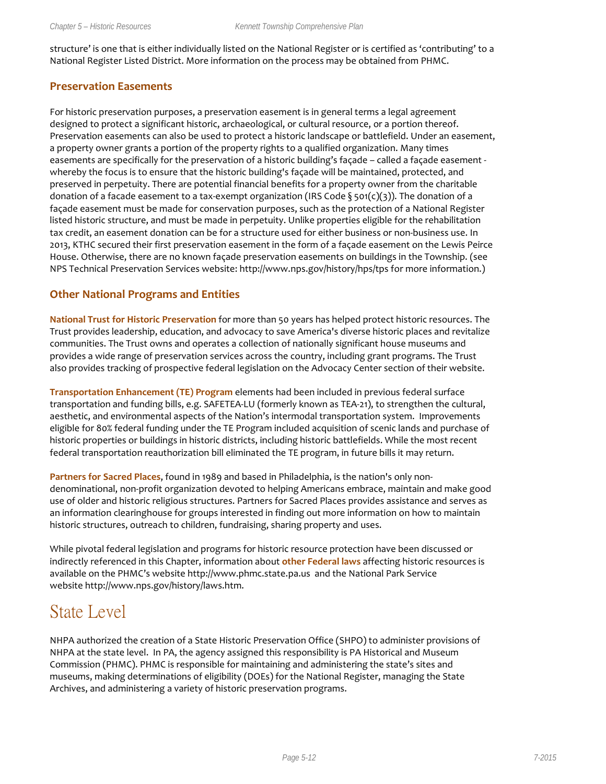structure' is one that is either individually listed on the National Register or is certified as 'contributing' to a National Register Listed District. More information on the process may be obtained from PHMC.

#### **Preservation Easements**

For historic preservation purposes, a preservation easement is in general terms a legal agreement designed to protect a significant historic, archaeological, or cultural resource, or a portion thereof. Preservation easements can also be used to protect a historic landscape or battlefield. Under an easement, a property owner grants a portion of the property rights to a qualified organization. Many times easements are specifically for the preservation of a historic building's façade – called a façade easement whereby the focus is to ensure that the historic building's façade will be maintained, protected, and preserved in perpetuity. There are potential financial benefits for a property owner from the charitable donation of a facade easement to a tax-exempt organization (IRS Code § 501(c)(3)). The donation of a façade easement must be made for conservation purposes, such as the protection of a National Register listed historic structure, and must be made in perpetuity. Unlike properties eligible for the rehabilitation tax credit, an easement donation can be for a structure used for either business or non-business use. In 2013, KTHC secured their first preservation easement in the form of a façade easement on the Lewis Peirce House. Otherwise, there are no known façade preservation easements on buildings in the Township. (see NPS Technical Preservation Services website: http://www.nps.gov/history/hps/tps for more information.)

#### **Other National Programs and Entities**

**National Trust for Historic Preservation** for more than 50 years has helped protect historic resources. The Trust provides leadership, education, and advocacy to save America's diverse historic places and revitalize communities. The Trust owns and operates a collection of nationally significant house museums and provides a wide range of preservation services across the country, including grant programs. The Trust also provides tracking of prospective federal legislation on the Advocacy Center section of their website.

**Transportation Enhancement (TE) Program** elements had been included in previous federal surface transportation and funding bills, e.g. SAFETEA-LU (formerly known as TEA-21), to strengthen the cultural, aesthetic, and environmental aspects of the Nation's intermodal transportation system. Improvements eligible for 80% federal funding under the TE Program included acquisition of scenic lands and purchase of historic properties or buildings in historic districts, including historic battlefields. While the most recent federal transportation reauthorization bill eliminated the TE program, in future bills it may return.

**Partners for Sacred Places**, found in 1989 and based in Philadelphia, is the nation's only nondenominational, non-profit organization devoted to helping Americans embrace, maintain and make good use of older and historic religious structures. Partners for Sacred Places provides assistance and serves as an information clearinghouse for groups interested in finding out more information on how to maintain historic structures, outreach to children, fundraising, sharing property and uses.

While pivotal federal legislation and programs for historic resource protection have been discussed or indirectly referenced in this Chapter, information about **other Federal laws** affecting historic resources is available on the PHMC's website http:/[/www.phmc.state.pa.us](http://www.phmc.state.pa.us/) and the National Park Service website [http://www.nps.gov/history/laws.htm.](http://www.nps.gov/history/laws.htm)

### State Level

NHPA authorized the creation of a State Historic Preservation Office (SHPO) to administer provisions of NHPA at the state level. In PA, the agency assigned this responsibility is PA Historical and Museum Commission (PHMC). PHMC is responsible for maintaining and administering the state's sites and museums, making determinations of eligibility (DOEs) for the National Register, managing the State Archives, and administering a variety of historic preservation programs.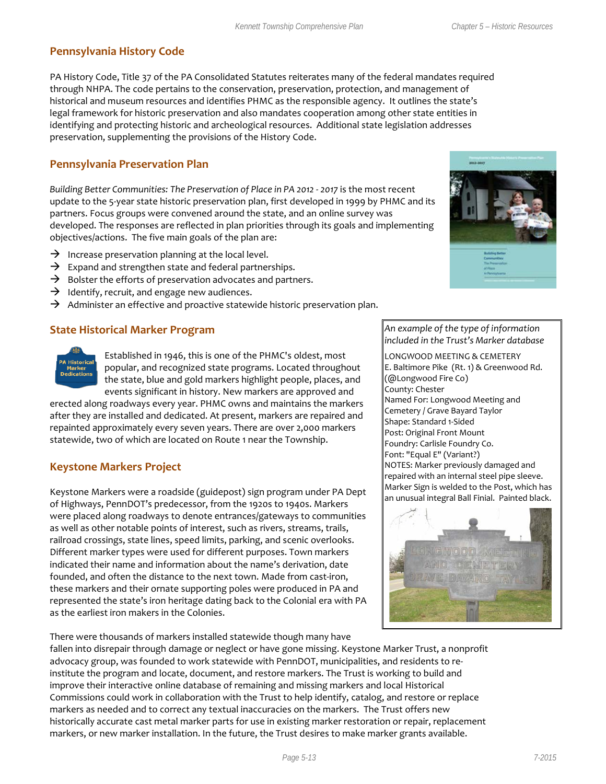#### **Pennsylvania History Code**

PA History Code, Title 37 of the PA Consolidated Statutes reiterates many of the federal mandates required through NHPA. The code pertains to the conservation, preservation, protection, and management of historical and museum resources and identifies PHMC as the responsible agency. It outlines the state's legal framework for historic preservation and also mandates cooperation among other state entities in identifying and protecting historic and archeological resources. Additional state legislation addresses preservation, supplementing the provisions of the History Code.

#### **Pennsylvania Preservation Plan**

*Building Better Communities: The Preservation of Place in PA 2012 - 2017* is the most recent update to the 5-year state historic preservation plan, first developed in 1999 by PHMC and its partners. Focus groups were convened around the state, and an online survey was developed. The responses are reflected in plan priorities through its goals and implementing objectives/actions. The five main goals of the plan are:

- $\rightarrow$  Increase preservation planning at the local level.
- $\rightarrow$  Expand and strengthen state and federal partnerships.
- $\rightarrow$  Bolster the efforts of preservation advocates and partners.
- $\rightarrow$  Identify, recruit, and engage new audiences.
- $\rightarrow$  Administer an effective and proactive statewide historic preservation plan.

#### **State Historical Marker Program**



Established in 1946, this is one of the PHMC's oldest, most popular, and recognized state programs. Located throughout the state, blue and gold markers highlight people, places, and events significant in history. New markers are approved and

erected along roadways every year. PHMC owns and maintains the markers after they are installed and dedicated. At present, markers are repaired and repainted approximately every seven years. There are over 2,000 markers statewide, two of which are located on Route 1 near the Township.

#### **Keystone Markers Project**

Keystone Markers were a roadside (guidepost) sign program under PA Dept of Highways, PennDOT's predecessor, from the 1920s to 1940s. Markers were placed along roadways to denote entrances/gateways to communities as well as other notable points of interest, such as rivers, streams, trails, railroad crossings, state lines, speed limits, parking, and scenic overlooks. Different marker types were used for different purposes. Town markers indicated their name and information about the name's derivation, date founded, and often the distance to the next town. Made from cast-iron, these markers and their ornate supporting poles were produced in PA and represented the state's iron heritage dating back to the Colonial era with PA as the earliest iron makers in the Colonies.

There were thousands of markers installed statewide though many have



#### *An example of the type of information included in the Trust's Marker database*

LONGWOOD MEETING & CEMETERY E. Baltimore Pike (Rt. 1) & Greenwood Rd. (@Longwood Fire Co) County: Chester Named For: Longwood Meeting and Cemetery / Grave Bayard Taylor Shape: Standard 1-Sided Post: Original Front Mount Foundry: Carlisle Foundry Co. Font: "Equal E" (Variant?) NOTES: Marker previously damaged and repaired with an internal steel pipe sleeve. Marker Sign is welded to the Post, which has an unusual integral Ball Finial. Painted black.



fallen into disrepair through damage or neglect or have gone missing. Keystone Marker Trust, a nonprofit advocacy group, was founded to work statewide with PennDOT, municipalities, and residents to reinstitute the program and locate, document, and restore markers. The Trust is working to build and improve their interactive online database of remaining and missing markers and local Historical Commissions could work in collaboration with the Trust to help identify, catalog, and restore or replace markers as needed and to correct any textual inaccuracies on the markers. The Trust offers new historically accurate cast metal marker parts for use in existing marker restoration or repair, replacement markers, or new marker installation. In the future, the Trust desires to make marker grants available.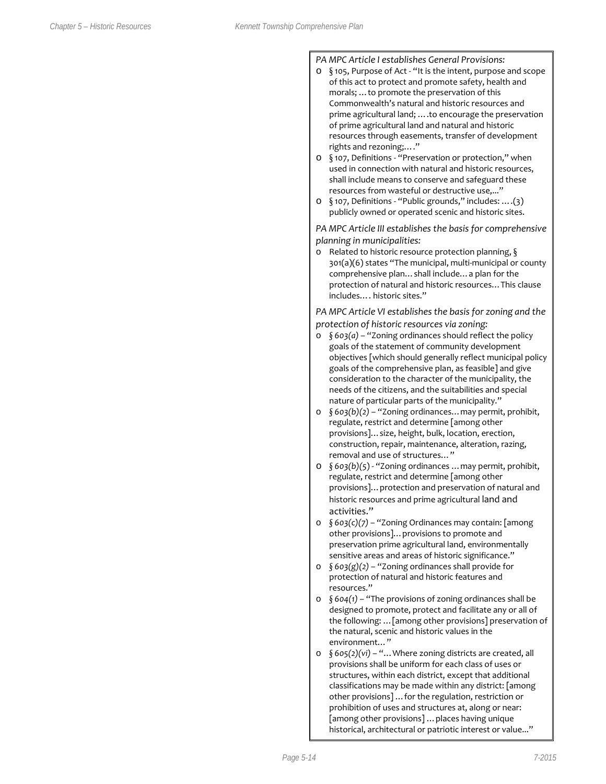#### *PA MPC Article I establishes General Provisions:*

- o § 105, Purpose of Act "It is the intent, purpose and scope of this act to protect and promote safety, health and morals; …to promote the preservation of this Commonwealth's natural and historic resources and prime agricultural land; ….to encourage the preservation of prime agricultural land and natural and historic resources through easements, transfer of development rights and rezoning;…."
- o § 107, Definitions "Preservation or protection," when used in connection with natural and historic resources, shall include means to conserve and safeguard these resources from wasteful or destructive use,..."
- o § 107, Definitions "Public grounds," includes: ….(3) publicly owned or operated scenic and historic sites.

*PA MPC Article III establishes the basis for comprehensive planning in municipalities:*

o Related to historic resource protection planning, § 301(a)(6) states "The municipal, multi-municipal or county comprehensive plan…shall include…a plan for the protection of natural and historic resources…This clause includes…. historic sites."

*PA MPC Article VI establishes the basis for zoning and the protection of historic resources via zoning:*

- o *§ 603(a)* "Zoning ordinances should reflect the policy goals of the statement of community development objectives [which should generally reflect municipal policy goals of the comprehensive plan, as feasible] and give consideration to the character of the municipality, the needs of the citizens, and the suitabilities and special nature of particular parts of the municipality."
- o *§ 603(b)(2)* "Zoning ordinances…may permit, prohibit, regulate, restrict and determine [among other provisions]…size, height, bulk, location, erection, construction, repair, maintenance, alteration, razing, removal and use of structures…"
- o *§ 603(b)(5*) "Zoning ordinances …may permit, prohibit, regulate, restrict and determine [among other provisions]…protection and preservation of natural and historic resources and prime agricultural land and activities."
- o *§ 603(c)(7)* "Zoning Ordinances may contain: [among other provisions]…provisions to promote and preservation prime agricultural land, environmentally sensitive areas and areas of historic significance."
- o *§ 603(g)(2)* "Zoning ordinances shall provide for protection of natural and historic features and resources."
- o *§ 604(1)* "The provisions of zoning ordinances shall be designed to promote, protect and facilitate any or all of the following: …[among other provisions] preservation of the natural, scenic and historic values in the environment…"
- o *§ 605(2)(vi)* "…Where zoning districts are created, all provisions shall be uniform for each class of uses or structures, within each district, except that additional classifications may be made within any district: [among other provisions] …for the regulation, restriction or prohibition of uses and structures at, along or near: [among other provisions] …places having unique historical, architectural or patriotic interest or value..."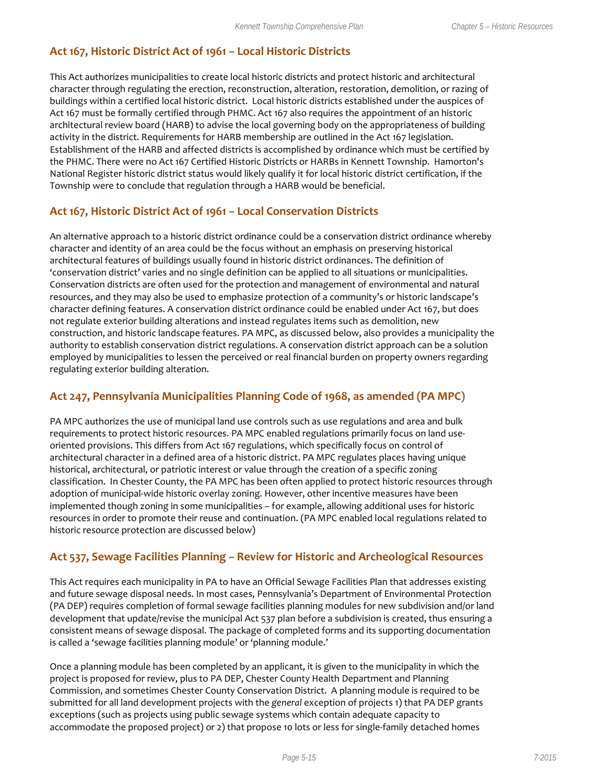#### **Act 167, Historic District Act of 1961 – Local Historic Districts**

This Act authorizes municipalities to create local historic districts and protect historic and architectural character through regulating the erection, reconstruction, alteration, restoration, demolition, or razing of buildings within a certified local historic district. Local historic districts established under the auspices of Act 167 must be formally certified through PHMC. Act 167 also requires the appointment of an historic architectural review board (HARB) to advise the local governing body on the appropriateness of building activity in the district. Requirements for HARB membership are outlined in the Act 167 legislation. Establishment of the HARB and affected districts is accomplished by ordinance which must be certified by the PHMC. There were no Act 167 Certified Historic Districts or HARBs in Kennett Township. Hamorton's National Register historic district status would likely qualify it for local historic district certification, if the Township were to conclude that regulation through a HARB would be beneficial.

#### **Act 167, Historic District Act of 1961 – Local Conservation Districts**

An alternative approach to a historic district ordinance could be a conservation district ordinance whereby character and identity of an area could be the focus without an emphasis on preserving historical architectural features of buildings usually found in historic district ordinances. The definition of 'conservation district' varies and no single definition can be applied to all situations or municipalities. Conservation districts are often used for the protection and management of environmental and natural resources, and they may also be used to emphasize protection of a community's or historic landscape's character defining features. A conservation district ordinance could be enabled under Act 167, but does not regulate exterior building alterations and instead regulates items such as demolition, new construction, and historic landscape features. PA MPC, as discussed below, also provides a municipality the authority to establish conservation district regulations. A conservation district approach can be a solution employed by municipalities to lessen the perceived or real financial burden on property owners regarding regulating exterior building alteration.

#### **Act 247, Pennsylvania Municipalities Planning Code of 1968, as amended (PA MPC)**

PA MPC authorizes the use of municipal land use controls such as use regulations and area and bulk requirements to protect historic resources. PA MPC enabled regulations primarily focus on land useoriented provisions. This differs from Act 167 regulations, which specifically focus on control of architectural character in a defined area of a historic district. PA MPC regulates places having unique historical, architectural, or patriotic interest or value through the creation of a specific zoning classification. In Chester County, the PA MPC has been often applied to protect historic resources through adoption of municipal-wide historic overlay zoning. However, other incentive measures have been implemented though zoning in some municipalities – for example, allowing additional uses for historic resources in order to promote their reuse and continuation. (PA MPC enabled local regulations related to historic resource protection are discussed below)

#### **Act 537, Sewage Facilities Planning – Review for Historic and Archeological Resources**

This Act requires each municipality in PA to have an Official Sewage Facilities Plan that addresses existing and future sewage disposal needs. In most cases, Pennsylvania's Department of Environmental Protection (PA DEP) requires completion of formal sewage facilities planning modules for new subdivision and/or land development that update/revise the municipal Act 537 plan before a subdivision is created, thus ensuring a consistent means of sewage disposal. The package of completed forms and its supporting documentation is called a 'sewage facilities planning module' or 'planning module.'

Once a planning module has been completed by an applicant, it is given to the municipality in which the project is proposed for review, plus to PA DEP, Chester County Health Department and Planning Commission, and sometimes Chester County Conservation District. A planning module is required to be submitted for all land development projects with the *general* exception of projects 1) that PA DEP grants exceptions (such as projects using public sewage systems which contain adequate capacity to accommodate the proposed project) or 2) that propose 10 lots or less for single-family detached homes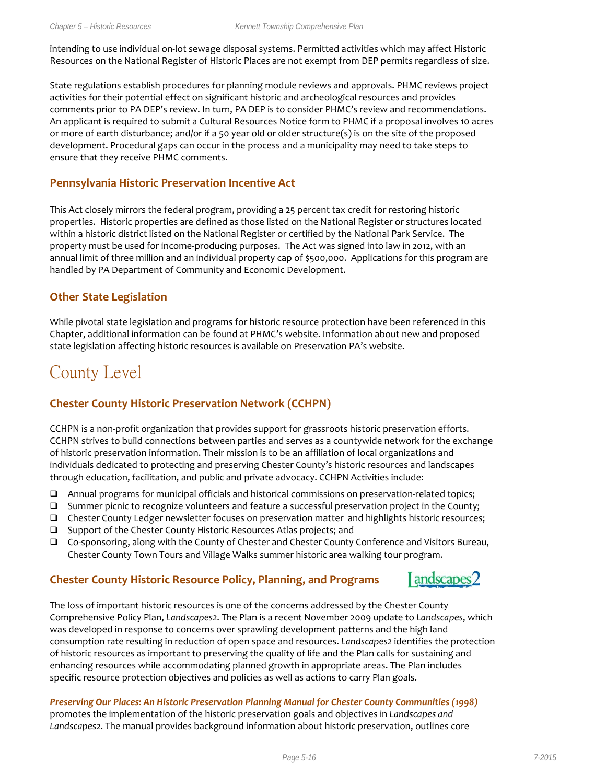intending to use individual on-lot sewage disposal systems. Permitted activities which may affect Historic Resources on the National Register of Historic Places are not exempt from DEP permits regardless of size.

State regulations establish procedures for planning module reviews and approvals. PHMC reviews project activities for their potential effect on significant historic and archeological resources and provides comments prior to PA DEP's review. In turn, PA DEP is to consider PHMC's review and recommendations. An applicant is required to submit a Cultural Resources Notice form to PHMC if a proposal involves 10 acres or more of earth disturbance; and/or if a 50 year old or older structure(s) is on the site of the proposed development. Procedural gaps can occur in the process and a municipality may need to take steps to ensure that they receive PHMC comments.

#### **Pennsylvania Historic Preservation Incentive Act**

This Act closely mirrors the federal program, providing a 25 percent tax credit for restoring historic properties. Historic properties are defined as those listed on the National Register or structures located within a historic district listed on the National Register or certified by the National Park Service. The property must be used for income-producing purposes. The Act was signed into law in 2012, with an annual limit of three million and an individual property cap of \$500,000. Applications for this program are handled by PA Department of Community and Economic Development.

#### **Other State Legislation**

While pivotal state legislation and programs for historic resource protection have been referenced in this Chapter, additional information can be found at PHMC's website. Information about new and proposed state legislation affecting historic resources is available on Preservation PA's website.

## County Level

#### **Chester County Historic Preservation Network (CCHPN)**

CCHPN is a non-profit organization that provides support for grassroots historic preservation efforts. CCHPN strives to build connections between parties and serves as a countywide network for the exchange of historic preservation information. Their mission is to be an affiliation of local organizations and individuals dedicated to protecting and preserving Chester County's historic resources and landscapes through education, facilitation, and public and private advocacy. CCHPN Activities include:

- Annual programs for municipal officials and historical commissions on preservation-related topics;
- $\square$  Summer picnic to recognize volunteers and feature a successful preservation project in the County;
- Chester County Ledger newsletter focuses on preservation matter and highlights historic resources;
- □ Support of the Chester County Historic Resources Atlas projects; and
- Co-sponsoring, along with the County of Chester and Chester County Conference and Visitors Bureau, Chester County Town Tours and Village Walks summer historic area walking tour program.

#### **Chester County Historic Resource Policy, Planning, and Programs**



The loss of important historic resources is one of the concerns addressed by the Chester County Comprehensive Policy Plan, *Landscapes2*. The Plan is a recent November 2009 update to *Landscapes*, which was developed in response to concerns over sprawling development patterns and the high land consumption rate resulting in reduction of open space and resources. *Landscapes2* identifies the protection of historic resources as important to preserving the quality of life and the Plan calls for sustaining and enhancing resources while accommodating planned growth in appropriate areas. The Plan includes specific resource protection objectives and policies as well as actions to carry Plan goals.

*Preserving Our Places***:** *An Historic Preservation Planning Manual for Chester County Communities (1998)* promotes the implementation of the historic preservation goals and objectives in *Landscapes and Landscapes2*. The manual provides background information about historic preservation, outlines core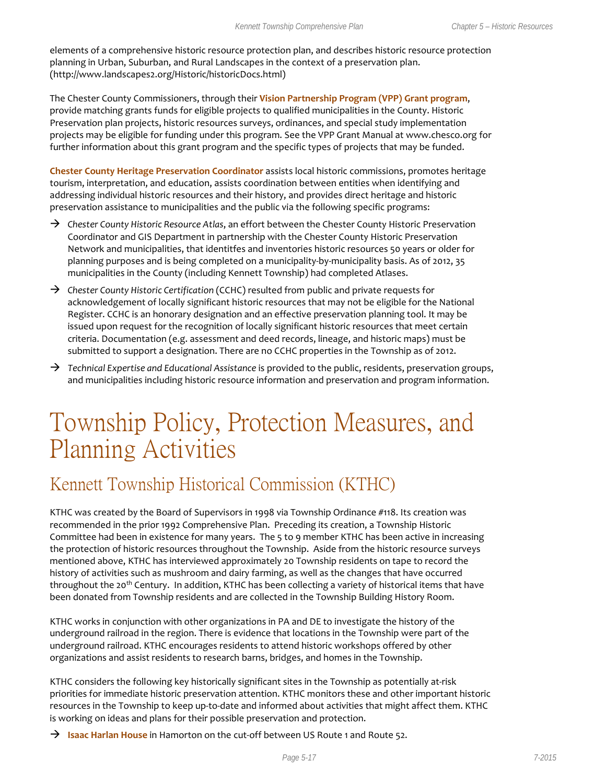elements of a comprehensive historic resource protection plan, and describes historic resource protection planning in Urban, Suburban, and Rural Landscapes in the context of a preservation plan. (http://www.landscapes2.org/Historic/historicDocs.html)

The Chester County Commissioners, through their **Vision Partnership Program (VPP) Grant program**, provide matching grants funds for eligible projects to qualified municipalities in the County. Historic Preservation plan projects, historic resources surveys, ordinances, and special study implementation projects may be eligible for funding under this program. See the VPP Grant Manual at [www.chesco.org](http://www.chesco.org/) for further information about this grant program and the specific types of projects that may be funded.

**Chester County Heritage Preservation Coordinator** assists local historic commissions, promotes heritage tourism, interpretation, and education, assists coordination between entities when identifying and addressing individual historic resources and their history, and provides direct heritage and historic preservation assistance to municipalities and the public via the following specific programs:

- → Chester County Historic Resource Atlas, an effort between the Chester County Historic Preservation Coordinator and GIS Department in partnership with the Chester County Historic Preservation Network and municipalities, that identitfes and inventories historic resources 50 years or older for planning purposes and is being completed on a municipality-by-municipality basis. As of 2012, 35 municipalities in the County (including Kennett Township) had completed Atlases.
- *Chester County Historic Certification* (CCHC) resulted from public and private requests for acknowledgement of locally significant historic resources that may not be eligible for the National Register. CCHC is an honorary designation and an effective preservation planning tool. It may be issued upon request for the recognition of locally significant historic resources that meet certain criteria. Documentation (e.g. assessment and deed records, lineage, and historic maps) must be submitted to support a designation. There are no CCHC properties in the Township as of 2012.
- *Technical Expertise and Educational Assistance* is provided to the public, residents, preservation groups, and municipalities including historic resource information and preservation and program information.

## Township Policy, Protection Measures, and Planning Activities

### Kennett Township Historical Commission (KTHC)

KTHC was created by the Board of Supervisors in 1998 via Township Ordinance #118. Its creation was recommended in the prior 1992 Comprehensive Plan. Preceding its creation, a Township Historic Committee had been in existence for many years. The 5 to 9 member KTHC has been active in increasing the protection of historic resources throughout the Township. Aside from the historic resource surveys mentioned above, KTHC has interviewed approximately 20 Township residents on tape to record the history of activities such as mushroom and dairy farming, as well as the changes that have occurred throughout the 20<sup>th</sup> Century. In addition, KTHC has been collecting a variety of historical items that have been donated from Township residents and are collected in the Township Building History Room.

KTHC works in conjunction with other organizations in PA and DE to investigate the history of the underground railroad in the region. There is evidence that locations in the Township were part of the underground railroad. KTHC encourages residents to attend historic workshops offered by other organizations and assist residents to research barns, bridges, and homes in the Township.

KTHC considers the following key historically significant sites in the Township as potentially at-risk priorities for immediate historic preservation attention. KTHC monitors these and other important historic resources in the Township to keep up-to-date and informed about activities that might affect them. KTHC is working on ideas and plans for their possible preservation and protection.

**Isaac Harlan House** in Hamorton on the cut-off between US Route 1 and Route 52.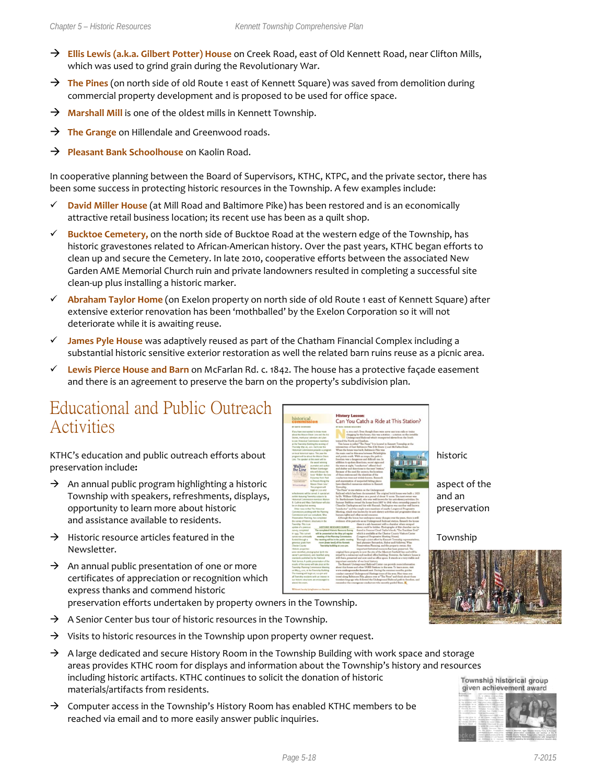- **Ellis Lewis (a.k.a. Gilbert Potter) House** on Creek Road, east of Old Kennett Road, near Clifton Mills, which was used to grind grain during the Revolutionary War.
- → The Pines (on north side of old Route 1 east of Kennett Square) was saved from demolition during commercial property development and is proposed to be used for office space.
- **Marshall Mill** is one of the oldest mills in Kennett Township.
- → **The Grange** on Hillendale and Greenwood roads.
- **Pleasant Bank Schoolhouse** on Kaolin Road.

In cooperative planning between the Board of Supervisors, KTHC, KTPC, and the private sector, there has been some success in protecting historic resources in the Township. A few examples include:

- **David Miller House** (at Mill Road and Baltimore Pike) has been restored and is an economically attractive retail business location; its recent use has been as a quilt shop.
- **Bucktoe Cemetery,** on the north side of Bucktoe Road at the western edge of the Township, has historic gravestones related to African-American history. Over the past years, KTHC began efforts to clean up and secure the Cemetery. In late 2010, cooperative efforts between the associated New Garden AME Memorial Church ruin and private landowners resulted in completing a successful site clean-up plus installing a historic marker.
- **Abraham Taylor Home** (on Exelon property on north side of old Route 1 east of Kennett Square) after extensive exterior renovation has been 'mothballed' by the Exelon Corporation so it will not deteriorate while it is awaiting reuse.
- **James Pyle House** was adaptively reused as part of the Chatham Financial Complex including a substantial historic sensitive exterior restoration as well the related barn ruins reuse as a picnic area.
- **Lewis Pierce House and Barn** on McFarlan Rd. c. 1842. The house has a protective façade easement and there is an agreement to preserve the barn on the property's subdivision plan.

### Educational and Public Outreach Activities

KTHC's education and public outreach efforts about historic historic historic preservation include**:**

- $\rightarrow$  An annual public program highlighting a historic  $\parallel$  aspect of the Township with speakers, refreshments, displays, **and an**d an analyzing and an opportunity to learn more about historic preservation preservation and assistance available to residents.
- $\rightarrow$  Historic resource articles featured in the Township Newsletter.
- $\rightarrow$  An annual public presentation of one or more certificates of appreciation or recognition which express thanks and commend historic

preservation efforts undertaken by property owners in the Township.

- $\rightarrow$  A Senior Center bus tour of historic resources in the Township.
- $\rightarrow$  Visits to historic resources in the Township upon property owner request.
- $\rightarrow$  A large dedicated and secure History Room in the Township Building with work space and storage areas provides KTHC room for displays and information about the Township's history and resources including historic artifacts. KTHC continues to solicit the donation of historic materials/artifacts from residents.
- $\rightarrow$  Computer access in the Township's History Room has enabled KTHC members to be reached via email and to more easily answer public inquiries.



Township historical group given achievement award

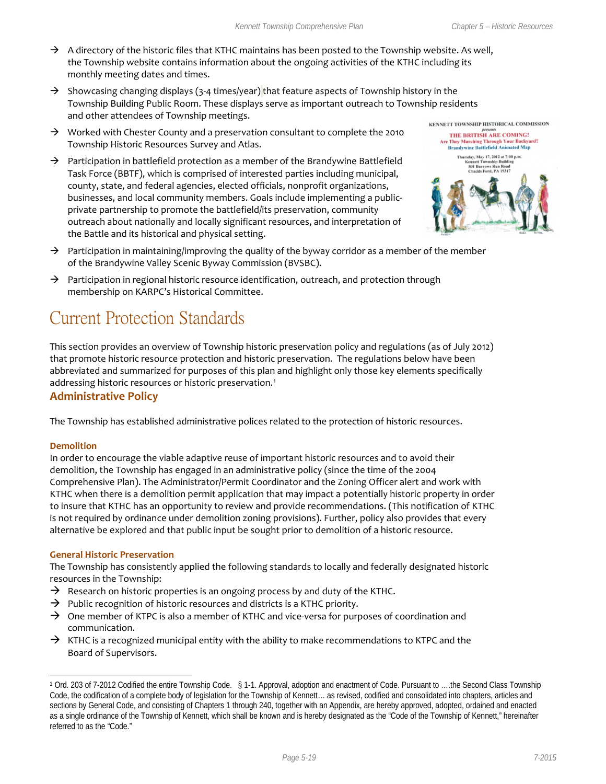- $\rightarrow$  A directory of the historic files that KTHC maintains has been posted to the Township website. As well, the Township website contains information about the ongoing activities of the KTHC including its monthly meeting dates and times.
- $\rightarrow$  Showcasing changing displays (3-4 times/year) that feature aspects of Township history in the Township Building Public Room. These displays serve as important outreach to Township residents and other attendees of Township meetings.
- $\rightarrow$  Worked with Chester County and a preservation consultant to complete the 2010 Township Historic Resources Survey and Atlas.
- $\rightarrow$  Participation in battlefield protection as a member of the Brandywine Battlefield Task Force (BBTF), which is comprised of interested parties including municipal, county, state, and federal agencies, elected officials, nonprofit organizations, businesses, and local community members. Goals include implementing a publicprivate partnership to promote the battlefield/its preservation, community outreach about nationally and locally significant resources, and interpretation of the Battle and its historical and physical setting.



- $\rightarrow$  Participation in maintaining/improving the quality of the byway corridor as a member of the member of the Brandywine Valley Scenic Byway Commission (BVSBC).
- $\rightarrow$  Participation in regional historic resource identification, outreach, and protection through membership on KARPC's Historical Committee.

## Current Protection Standards

This section provides an overview of Township historic preservation policy and regulations (as of July 2012) that promote historic resource protection and historic preservation. The regulations below have been abbreviated and summarized for purposes of this plan and highlight only those key elements specifically addressing historic resources or historic preservation.<sup>[1](#page-18-0)</sup>

#### **Administrative Policy**

The Township has established administrative polices related to the protection of historic resources.

#### **Demolition**

 $\overline{a}$ 

In order to encourage the viable adaptive reuse of important historic resources and to avoid their demolition, the Township has engaged in an administrative policy (since the time of the 2004 Comprehensive Plan). The Administrator/Permit Coordinator and the Zoning Officer alert and work with KTHC when there is a demolition permit application that may impact a potentially historic property in order to insure that KTHC has an opportunity to review and provide recommendations. (This notification of KTHC is not required by ordinance under demolition zoning provisions). Further, policy also provides that every alternative be explored and that public input be sought prior to demolition of a historic resource.

#### **General Historic Preservation**

The Township has consistently applied the following standards to locally and federally designated historic resources in the Township:

- $\rightarrow$  Research on historic properties is an ongoing process by and duty of the KTHC.
- $\rightarrow$  Public recognition of historic resources and districts is a KTHC priority.
- $\rightarrow$  One member of KTPC is also a member of KTHC and vice-versa for purposes of coordination and communication.
- $\rightarrow$  KTHC is a recognized municipal entity with the ability to make recommendations to KTPC and the Board of Supervisors.

<span id="page-18-0"></span><sup>1</sup> Ord. 203 of 7-2012 Codified the entire Township Code. § 1-1. Approval, adoption and enactment of Code. Pursuant to ….the Second Class Township Code, the codification of a complete body of legislation for the Township of Kennett… as revised, codified and consolidated into chapters, articles and sections by General Code, and consisting of Chapters 1 through 240, together with an Appendix, are hereby approved, adopted, ordained and enacted as a single ordinance of the Township of Kennett, which shall be known and is hereby designated as the "Code of the Township of Kennett," hereinafter referred to as the "Code."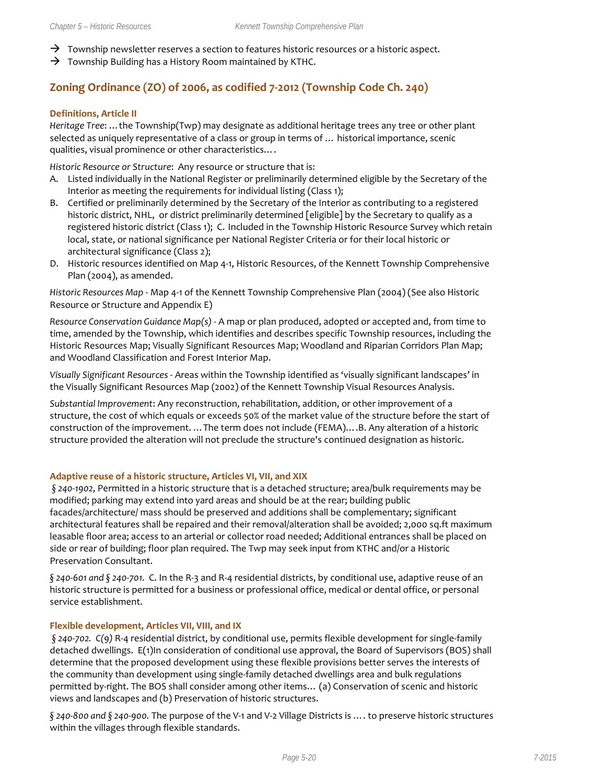- $\rightarrow$  Township newsletter reserves a section to features historic resources or a historic aspect.
- $\rightarrow$  Township Building has a History Room maintained by KTHC.

#### **Zoning Ordinance (ZO) of 2006, as codified 7-2012 (Township Code Ch. 240)**

#### **Definitions, Article II**

*Heritage Tree*: …the Township(Twp) may designate as additional heritage trees any tree or other plant selected as uniquely representative of a class or group in terms of … historical importance, scenic qualities, visual prominence or other characteristics….

*Historic Resource or Structure*: Any resource or structure that is:

- A. Listed individually in the National Register or preliminarily determined eligible by the Secretary of the Interior as meeting the requirements for individual listing (Class 1);
- B. Certified or preliminarily determined by the Secretary of the Interior as contributing to a registered historic district, NHL, or district preliminarily determined [eligible] by the Secretary to qualify as a registered historic district (Class 1); C. Included in the Township Historic Resource Survey which retain local, state, or national significance per National Register Criteria or for their local historic or architectural significance (Class 2);
- D. Historic resources identified on Map 4-1, Historic Resources, of the Kennett Township Comprehensive Plan (2004), as amended.

*Historic Resources Map* - Map 4-1 of the Kennett Township Comprehensive Plan (2004) (See also Historic Resource or Structure and Appendix E)

*Resource Conservation Guidance Map(s)* - A map or plan produced, adopted or accepted and, from time to time, amended by the Township, which identifies and describes specific Township resources, including the Historic Resources Map; Visually Significant Resources Map; Woodland and Riparian Corridors Plan Map; and Woodland Classification and Forest Interior Map.

*Visually Significant Resources* - Areas within the Township identified as 'visually significant landscapes' in the Visually Significant Resources Map (2002) of the Kennett Township Visual Resources Analysis.

*Substantial Improvement*: Any reconstruction, rehabilitation, addition, or other improvement of a structure, the cost of which equals or exceeds 50% of the market value of the structure before the start of construction of the improvement. …The term does not include (FEMA)….B. Any alteration of a historic structure provided the alteration will not preclude the structure's continued designation as historic.

#### **Adaptive reuse of a historic structure, Articles VI, VII, and XIX**

*§ 240-1902*, Permitted in a historic structure that is a detached structure; area/bulk requirements may be modified; parking may extend into yard areas and should be at the rear; building public facades/architecture/ mass should be preserved and additions shall be complementary; significant architectural features shall be repaired and their removal/alteration shall be avoided; 2,000 sq.ft maximum leasable floor area; access to an arterial or collector road needed; Additional entrances shall be placed on side or rear of building; floor plan required. The Twp may seek input from KTHC and/or a Historic Preservation Consultant.

*§ 240-601 and § 240-701.* C. In the R-3 and R-4 residential districts, by conditional use, adaptive reuse of an historic structure is permitted for a business or professional office, medical or dental office, or personal service establishment.

#### **Flexible development, Articles VII, VIII, and IX**

*§ 240-702. C(9)* R-4 residential district, by conditional use, permits flexible development for single-family detached dwellings. E(1)In consideration of conditional use approval, the Board of Supervisors (BOS) shall determine that the proposed development using these flexible provisions better serves the interests of the community than development using single-family detached dwellings area and bulk regulations permitted by-right. The BOS shall consider among other items… (a) Conservation of scenic and historic views and landscapes and (b) Preservation of historic structures.

*§ 240-800 and § 240-900.* The purpose of the V-1 and V-2 Village Districts is …. to preserve historic structures within the villages through flexible standards.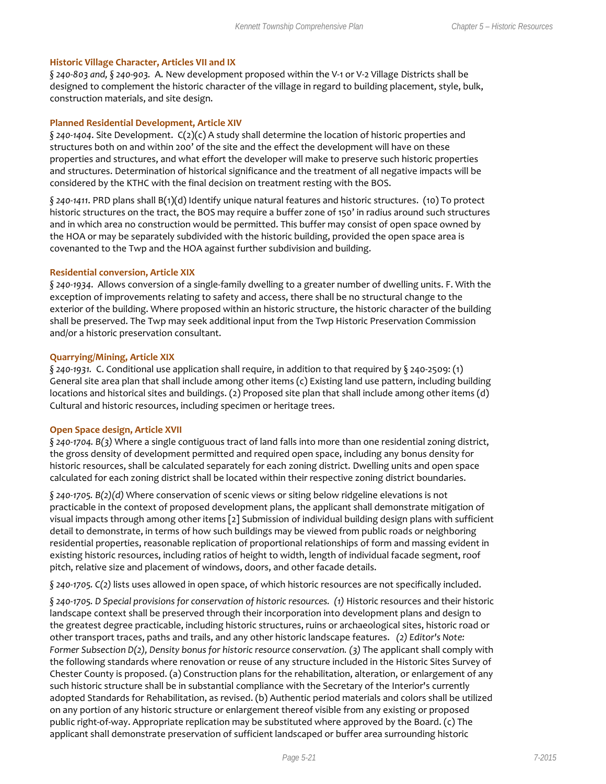#### **Historic Village Character, Articles VII and IX**

*§ 240-803 and, § 240-903.* A. New development proposed within the V-1 or V-2 Village Districts shall be designed to complement the historic character of the village in regard to building placement, style, bulk, construction materials, and site design.

#### **Planned Residential Development, Article XIV**

*§ 240-1404*. Site Development. C(2)(c) A study shall determine the location of historic properties and structures both on and within 200' of the site and the effect the development will have on these properties and structures, and what effort the developer will make to preserve such historic properties and structures. Determination of historical significance and the treatment of all negative impacts will be considered by the KTHC with the final decision on treatment resting with the BOS.

*§ 240-1411*. PRD plans shall B(1)(d) Identify unique natural features and historic structures. (10) To protect historic structures on the tract, the BOS may require a buffer zone of 150' in radius around such structures and in which area no construction would be permitted. This buffer may consist of open space owned by the HOA or may be separately subdivided with the historic building, provided the open space area is covenanted to the Twp and the HOA against further subdivision and building.

#### **Residential conversion, Article XIX**

*§ 240-1934*. Allows conversion of a single-family dwelling to a greater number of dwelling units. F. With the exception of improvements relating to safety and access, there shall be no structural change to the exterior of the building. Where proposed within an historic structure, the historic character of the building shall be preserved. The Twp may seek additional input from the Twp Historic Preservation Commission and/or a historic preservation consultant.

#### **Quarrying/Mining, Article XIX**

*§ 240-1931.* C. Conditional use application shall require, in addition to that required by § 240-2509: (1) General site area plan that shall include among other items (c) Existing land use pattern, including building locations and historical sites and buildings. (2) Proposed site plan that shall include among other items (d) Cultural and historic resources, including specimen or heritage trees.

#### **Open Space design, Article XVII**

*§ 240-1704. B(3)* Where a single contiguous tract of land falls into more than one residential zoning district, the gross density of development permitted and required open space, including any bonus density for historic resources, shall be calculated separately for each zoning district. Dwelling units and open space calculated for each zoning district shall be located within their respective zoning district boundaries.

*§ 240-1705. B(2)(d)* Where conservation of scenic views or siting below ridgeline elevations is not practicable in the context of proposed development plans, the applicant shall demonstrate mitigation of visual impacts through among other items [2] Submission of individual building design plans with sufficient detail to demonstrate, in terms of how such buildings may be viewed from public roads or neighboring residential properties, reasonable replication of proportional relationships of form and massing evident in existing historic resources, including ratios of height to width, length of individual facade segment, roof pitch, relative size and placement of windows, doors, and other facade details.

*§ 240-1705. C(2)* lists uses allowed in open space, of which historic resources are not specifically included.

*§ 240-1705. D Special provisions for conservation of historic resources. (1)* Historic resources and their historic landscape context shall be preserved through their incorporation into development plans and design to the greatest degree practicable, including historic structures, ruins or archaeological sites, historic road or other transport traces, paths and trails, and any other historic landscape features. *(2) Editor's Note: Former Subsection D(2), Density bonus for historic resource conservation. (3)* The applicant shall comply with the following standards where renovation or reuse of any structure included in the Historic Sites Survey of Chester County is proposed. (a) Construction plans for the rehabilitation, alteration, or enlargement of any such historic structure shall be in substantial compliance with the Secretary of the Interior's currently adopted Standards for Rehabilitation, as revised. (b) Authentic period materials and colors shall be utilized on any portion of any historic structure or enlargement thereof visible from any existing or proposed public right-of-way. Appropriate replication may be substituted where approved by the Board. (c) The applicant shall demonstrate preservation of sufficient landscaped or buffer area surrounding historic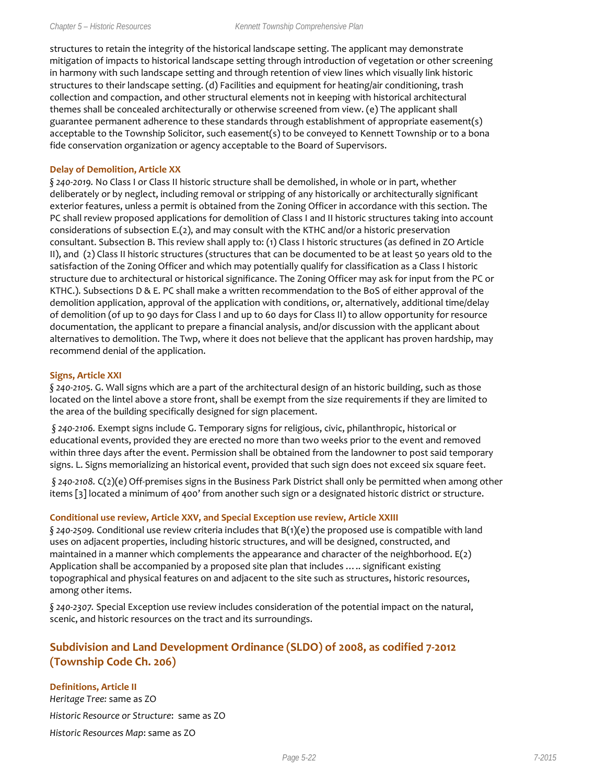structures to retain the integrity of the historical landscape setting. The applicant may demonstrate mitigation of impacts to historical landscape setting through introduction of vegetation or other screening in harmony with such landscape setting and through retention of view lines which visually link historic structures to their landscape setting. (d) Facilities and equipment for heating/air conditioning, trash collection and compaction, and other structural elements not in keeping with historical architectural themes shall be concealed architecturally or otherwise screened from view. (e) The applicant shall guarantee permanent adherence to these standards through establishment of appropriate easement(s) acceptable to the Township Solicitor, such easement(s) to be conveyed to Kennett Township or to a bona fide conservation organization or agency acceptable to the Board of Supervisors.

#### **Delay of Demolition, Article XX**

*§ 240-2019.* No Class I or Class II historic structure shall be demolished, in whole or in part, whether deliberately or by neglect, including removal or stripping of any historically or architecturally significant exterior features, unless a permit is obtained from the Zoning Officer in accordance with this section. The PC shall review proposed applications for demolition of Class I and II historic structures taking into account considerations of subsection E.(2), and may consult with the KTHC and/or a historic preservation consultant. Subsection B. This review shall apply to: (1) Class I historic structures (as defined in ZO Article II), and (2) Class II historic structures (structures that can be documented to be at least 50 years old to the satisfaction of the Zoning Officer and which may potentially qualify for classification as a Class I historic structure due to architectural or historical significance. The Zoning Officer may ask for input from the PC or KTHC.). Subsections D & E. PC shall make a written recommendation to the BoS of either approval of the demolition application, approval of the application with conditions, or, alternatively, additional time/delay of demolition (of up to 90 days for Class I and up to 60 days for Class II) to allow opportunity for resource documentation, the applicant to prepare a financial analysis, and/or discussion with the applicant about alternatives to demolition. The Twp, where it does not believe that the applicant has proven hardship, may recommend denial of the application.

#### **Signs, Article XXI**

*§ 240-2105*. G. Wall signs which are a part of the architectural design of an historic building, such as those located on the lintel above a store front, shall be exempt from the size requirements if they are limited to the area of the building specifically designed for sign placement.

*§ 240-2106.* Exempt signs include G. Temporary signs for religious, civic, philanthropic, historical or educational events, provided they are erected no more than two weeks prior to the event and removed within three days after the event. Permission shall be obtained from the landowner to post said temporary signs. L. Signs memorializing an historical event, provided that such sign does not exceed six square feet.

*§ 240-2108.* C(2)(e) Off-premises signs in the Business Park District shall only be permitted when among other items [3] located a minimum of 400' from another such sign or a designated historic district or structure.

#### **Conditional use review, Article XXV, and Special Exception use review, Article XXIII**

*§ 240-2509.* Conditional use review criteria includes that B(1)(e) the proposed use is compatible with land uses on adjacent properties, including historic structures, and will be designed, constructed, and maintained in a manner which complements the appearance and character of the neighborhood. E(2) Application shall be accompanied by a proposed site plan that includes ….. significant existing topographical and physical features on and adjacent to the site such as structures, historic resources, among other items.

*§ 240-2307.* Special Exception use review includes consideration of the potential impact on the natural, scenic, and historic resources on the tract and its surroundings.

#### **Subdivision and Land Development Ordinance (SLDO) of 2008, as codified 7-2012 (Township Code Ch. 206)**

**Definitions, Article II** *Heritage Tree:* same as ZO *Historic Resource or Structure*: same as ZO *Historic Resources Map*: same as ZO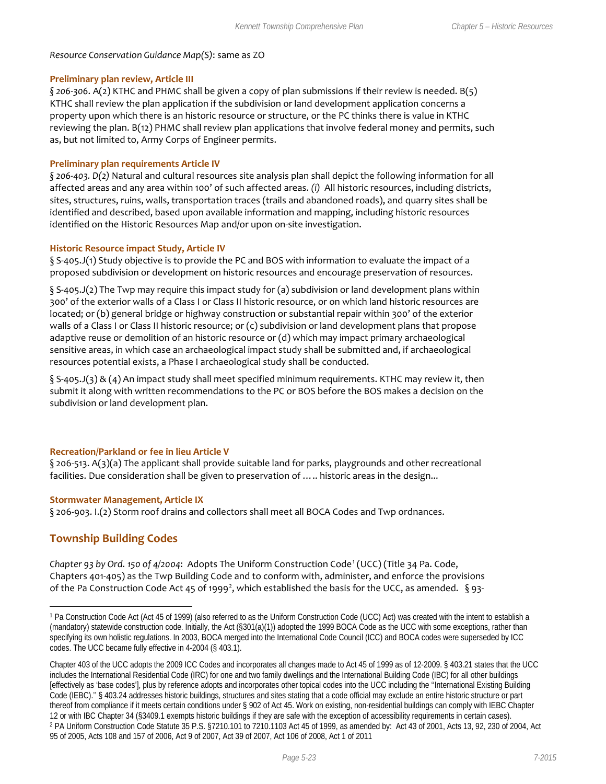#### *Resource Conservation Guidance Map(S)*: same as ZO

#### **Preliminary plan review, Article III**

*§ 206-306*. A(2) KTHC and PHMC shall be given a copy of plan submissions if their review is needed. B(5) KTHC shall review the plan application if the subdivision or land development application concerns a property upon which there is an historic resource or structure, or the PC thinks there is value in KTHC reviewing the plan. B(12) PHMC shall review plan applications that involve federal money and permits, such as, but not limited to, Army Corps of Engineer permits.

#### **Preliminary plan requirements Article IV**

*§ 206-403. D(2)* Natural and cultural resources site analysis plan shall depict the following information for all affected areas and any area within 100' of such affected areas. *(i)* All historic resources, including districts, sites, structures, ruins, walls, transportation traces (trails and abandoned roads), and quarry sites shall be identified and described, based upon available information and mapping, including historic resources identified on the Historic Resources Map and/or upon on-site investigation.

#### **Historic Resource impact Study, Article IV**

§ S-405.J(1) Study objective is to provide the PC and BOS with information to evaluate the impact of a proposed subdivision or development on historic resources and encourage preservation of resources.

§ S-405.J(2) The Twp may require this impact study for (a) subdivision or land development plans within 300' of the exterior walls of a Class I or Class II historic resource, or on which land historic resources are located; or (b) general bridge or highway construction or substantial repair within 300' of the exterior walls of a Class I or Class II historic resource; or (c) subdivision or land development plans that propose adaptive reuse or demolition of an historic resource or (d) which may impact primary archaeological sensitive areas, in which case an archaeological impact study shall be submitted and, if archaeological resources potential exists, a Phase I archaeological study shall be conducted.

§ S-405.J(3) & (4) An impact study shall meet specified minimum requirements. KTHC may review it, then submit it along with written recommendations to the PC or BOS before the BOS makes a decision on the subdivision or land development plan.

#### **Recreation/Parkland or fee in lieu Article V**

§ 206-513. A(3)(a) The applicant shall provide suitable land for parks, playgrounds and other recreational facilities. Due consideration shall be given to preservation of ..... historic areas in the design...

#### **Stormwater Management, Article IX**

§ 206-903. I.(2) Storm roof drains and collectors shall meet all BOCA Codes and Twp ordnances.

#### **Township Building Codes**

 $\overline{a}$ 

*Chapter 93 by Ord. 150 of 4/2004*: Adopts The Uniform Construction Code[1](#page-22-0) (UCC) (Title 34 Pa. Code, Chapters 401-405) as the Twp Building Code and to conform with, administer, and enforce the provisions of the Pa Construction Code Act 45 of 1999<sup>[2](#page-22-1)</sup>, which established the basis for the UCC, as amended.  $\S$ 93-

<span id="page-22-0"></span><sup>1</sup> Pa Construction Code Act (Act 45 of 1999) (also referred to as the Uniform Construction Code (UCC) Act) was created with the intent to establish a (mandatory) statewide construction code. Initially, the Act (§301(a)(1)) adopted the 1999 BOCA Code as the UCC with some exceptions, rather than specifying its own holistic regulations. In 2003, BOCA merged into the International Code Council (ICC) and BOCA codes were superseded by ICC codes. The UCC became fully effective in 4-2004 (§ 403.1).

<span id="page-22-1"></span>Chapter 403 of the UCC adopts the 2009 ICC Codes and incorporates all changes made to Act 45 of 1999 as of 12-2009. § 403.21 states that the UCC includes the International Residential Code (IRC) for one and two family dwellings and the International Building Code (IBC) for all other buildings [effectively as 'base codes'], plus by reference adopts and incorporates other topical codes into the UCC including the ''International Existing Building Code (IEBC).'' § 403.24 addresses historic buildings, structures and sites stating that a code official may exclude an entire historic structure or part thereof from compliance if it meets certain conditions under § 902 of Act 45. Work on existing, non-residential buildings can comply with IEBC Chapter 12 or with IBC Chapter 34 (§3409.1 exempts historic buildings if they are safe with the exception of accessibility requirements in certain cases).<br><sup>2</sup> PA Uniform Construction Code Statute 35 P.S. §7210.101 to 7210.1103 Act 95 of 2005, Acts 108 and 157 of 2006, Act 9 of 2007, Act 39 of 2007, Act 106 of 2008, Act 1 of 2011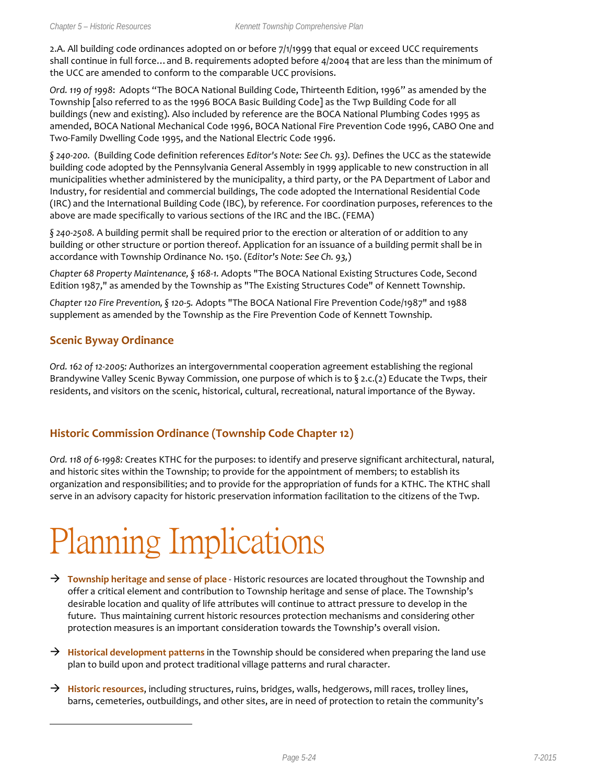2.A. All building code ordinances adopted on or before 7/1/1999 that equal or exceed UCC requirements shall continue in full force…and B. requirements adopted before 4/2004 that are less than the minimum of the UCC are amended to conform to the comparable UCC provisions.

*Ord. 119 of 1998*: Adopts "The BOCA National Building Code, Thirteenth Edition, 1996" as amended by the Township [also referred to as the 1996 BOCA Basic Building Code] as the Twp Building Code for all buildings (new and existing). Also included by reference are the BOCA National Plumbing Codes 1995 as amended, BOCA National Mechanical Code 1996, BOCA National Fire Prevention Code 1996, CABO One and Two-Family Dwelling Code 1995, and the National Electric Code 1996.

*§ 240-200.* (Building Code definition references *Editor's Note: See Ch. 93).* Defines the UCC as the statewide building code adopted by the Pennsylvania General Assembly in 1999 applicable to new construction in all municipalities whether administered by the municipality, a third party, or the PA Department of Labor and Industry, for residential and commercial buildings, The code adopted the International Residential Code (IRC) and the International Building Code (IBC), by reference. For coordination purposes, references to the above are made specifically to various sections of the IRC and the IBC. (FEMA)

*§ 240-2508.* A building permit shall be required prior to the erection or alteration of or addition to any building or other structure or portion thereof. Application for an issuance of a building permit shall be in accordance with Township Ordinance No. 150. (*Editor's Note: See Ch. 93,*)

*Chapter 68 Property Maintenance, § 168-1.* Adopts "The BOCA National Existing Structures Code, Second Edition 1987," as amended by the Township as "The Existing Structures Code" of Kennett Township.

*Chapter 120 Fire Prevention, § 120-5.* Adopts "The BOCA National Fire Prevention Code/1987" and 1988 supplement as amended by the Township as the Fire Prevention Code of Kennett Township.

#### **Scenic Byway Ordinance**

 $\overline{a}$ 

*Ord. 162 of 12-2005:* Authorizes an intergovernmental cooperation agreement establishing the regional Brandywine Valley Scenic Byway Commission, one purpose of which is to  $\S$  2.c.(2) Educate the Twps, their residents, and visitors on the scenic, historical, cultural, recreational, natural importance of the Byway.

#### **Historic Commission Ordinance (Township Code Chapter 12)**

*Ord. 118 of 6-1998:* Creates KTHC for the purposes: to identify and preserve significant architectural, natural, and historic sites within the Township; to provide for the appointment of members; to establish its organization and responsibilities; and to provide for the appropriation of funds for a KTHC. The KTHC shall serve in an advisory capacity for historic preservation information facilitation to the citizens of the Twp.

# Planning Implications

- → **Township heritage and sense of place** Historic resources are located throughout the Township and offer a critical element and contribution to Township heritage and sense of place. The Township's desirable location and quality of life attributes will continue to attract pressure to develop in the future. Thus maintaining current historic resources protection mechanisms and considering other protection measures is an important consideration towards the Township's overall vision.
- → Historical development patterns in the Township should be considered when preparing the land use plan to build upon and protect traditional village patterns and rural character.
- **Historic resources**, including structures, ruins, bridges, walls, hedgerows, mill races, trolley lines, barns, cemeteries, outbuildings, and other sites, are in need of protection to retain the community's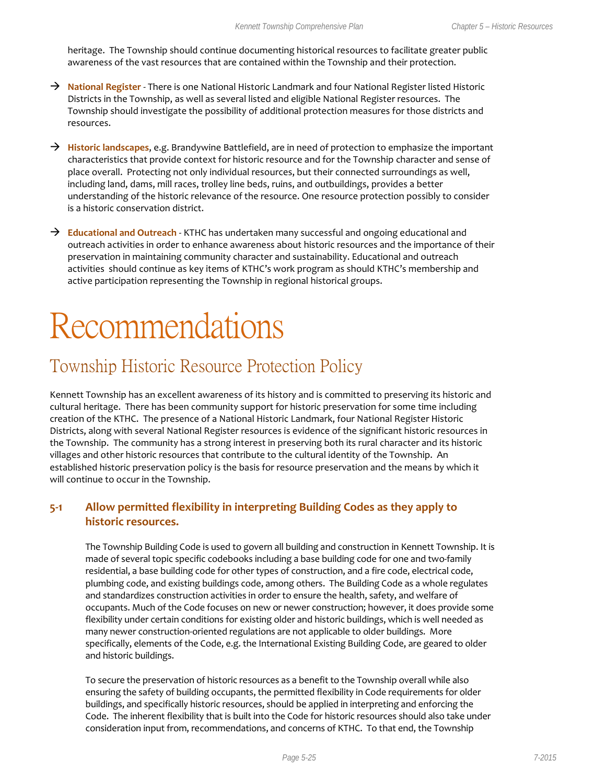heritage. The Township should continue documenting historical resources to facilitate greater public awareness of the vast resources that are contained within the Township and their protection.

- → National Register There is one National Historic Landmark and four National Register listed Historic Districts in the Township, as well as several listed and eligible National Register resources. The Township should investigate the possibility of additional protection measures for those districts and resources.
- **Historic landscapes**, e.g. Brandywine Battlefield, are in need of protection to emphasize the important characteristics that provide context for historic resource and for the Township character and sense of place overall. Protecting not only individual resources, but their connected surroundings as well, including land, dams, mill races, trolley line beds, ruins, and outbuildings, provides a better understanding of the historic relevance of the resource. One resource protection possibly to consider is a historic conservation district.
- **Educational and Outreach**  KTHC has undertaken many successful and ongoing educational and outreach activities in order to enhance awareness about historic resources and the importance of their preservation in maintaining community character and sustainability. Educational and outreach activities should continue as key items of KTHC's work program as should KTHC's membership and active participation representing the Township in regional historical groups.

# Recommendations

### Township Historic Resource Protection Policy

Kennett Township has an excellent awareness of its history and is committed to preserving its historic and cultural heritage. There has been community support for historic preservation for some time including creation of the KTHC. The presence of a National Historic Landmark, four National Register Historic Districts, along with several National Register resources is evidence of the significant historic resources in the Township. The community has a strong interest in preserving both its rural character and its historic villages and other historic resources that contribute to the cultural identity of the Township. An established historic preservation policy is the basis for resource preservation and the means by which it will continue to occur in the Township.

#### **5-1 Allow permitted flexibility in interpreting Building Codes as they apply to historic resources.**

The Township Building Code is used to govern all building and construction in Kennett Township. It is made of several topic specific codebooks including a base building code for one and two-family residential, a base building code for other types of construction, and a fire code, electrical code, plumbing code, and existing buildings code, among others. The Building Code as a whole regulates and standardizes construction activities in order to ensure the health, safety, and welfare of occupants. Much of the Code focuses on new or newer construction; however, it does provide some flexibility under certain conditions for existing older and historic buildings, which is well needed as many newer construction-oriented regulations are not applicable to older buildings. More specifically, elements of the Code, e.g. the International Existing Building Code, are geared to older and historic buildings.

To secure the preservation of historic resources as a benefit to the Township overall while also ensuring the safety of building occupants, the permitted flexibility in Code requirements for older buildings, and specifically historic resources, should be applied in interpreting and enforcing the Code. The inherent flexibility that is built into the Code for historic resources should also take under consideration input from, recommendations, and concerns of KTHC. To that end, the Township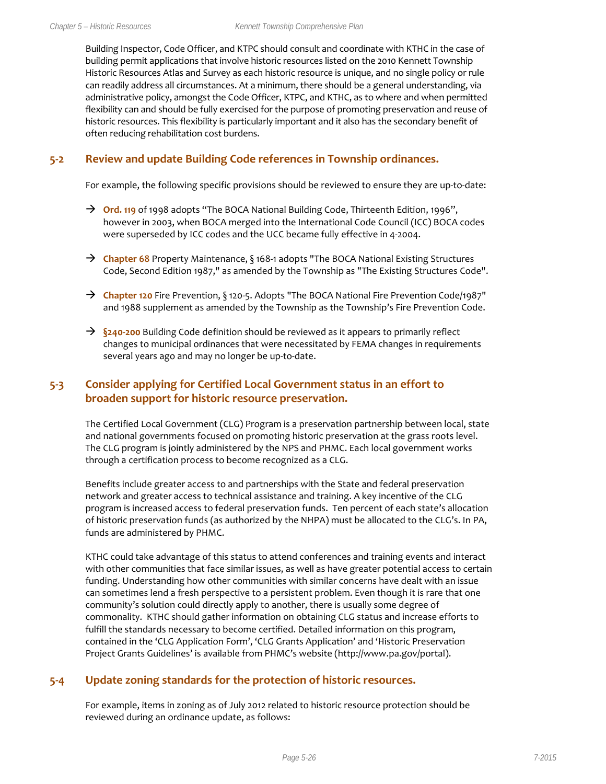Building Inspector, Code Officer, and KTPC should consult and coordinate with KTHC in the case of building permit applications that involve historic resources listed on the 2010 Kennett Township Historic Resources Atlas and Survey as each historic resource is unique, and no single policy or rule can readily address all circumstances. At a minimum, there should be a general understanding, via administrative policy, amongst the Code Officer, KTPC, and KTHC, as to where and when permitted flexibility can and should be fully exercised for the purpose of promoting preservation and reuse of historic resources. This flexibility is particularly important and it also has the secondary benefit of often reducing rehabilitation cost burdens.

#### **5-2 Review and update Building Code references in Township ordinances.**

For example, the following specific provisions should be reviewed to ensure they are up-to-date:

- → Ord. 119 of 1998 adopts "The BOCA National Building Code, Thirteenth Edition, 1996", however in 2003, when BOCA merged into the International Code Council (ICC) BOCA codes were superseded by ICC codes and the UCC became fully effective in 4-2004.
- → **Chapter 68** Property Maintenance, § 168-1 adopts "The BOCA National Existing Structures Code, Second Edition 1987," as amended by the Township as "The Existing Structures Code".
- **Chapter 120** Fire Prevention, § 120-5. Adopts "The BOCA National Fire Prevention Code/1987" and 1988 supplement as amended by the Township as the Township's Fire Prevention Code.
- **§240-200** Building Code definition should be reviewed as it appears to primarily reflect changes to municipal ordinances that were necessitated by FEMA changes in requirements several years ago and may no longer be up-to-date.

#### **5-3 Consider applying for Certified Local Government status in an effort to broaden support for historic resource preservation.**

The Certified Local Government (CLG) Program is a preservation partnership between local, state and national governments focused on promoting historic preservation at the grass roots level. The CLG program is jointly administered by the NPS and PHMC. Each local government works through a certification process to become recognized as a CLG.

Benefits include greater access to and partnerships with the State and federal preservation network and greater access to technical assistance and training. A key incentive of the CLG program is increased access to federal preservation funds. Ten percent of each state's allocation of historic preservation funds (as authorized by the NHPA) must be allocated to the CLG's. In PA, funds are administered by PHMC.

KTHC could take advantage of this status to attend conferences and training events and interact with other communities that face similar issues, as well as have greater potential access to certain funding. Understanding how other communities with similar concerns have dealt with an issue can sometimes lend a fresh perspective to a persistent problem. Even though it is rare that one community's solution could directly apply to another, there is usually some degree of commonality. KTHC should gather information on obtaining CLG status and increase efforts to fulfill the standards necessary to become certified. Detailed information on this program, contained in the 'CLG Application Form', 'CLG Grants Application' and 'Historic Preservation Project Grants Guidelines' is available from PHMC's website (http://www.pa.gov/portal).

#### **5-4 Update zoning standards for the protection of historic resources.**

For example, items in zoning as of July 2012 related to historic resource protection should be reviewed during an ordinance update, as follows: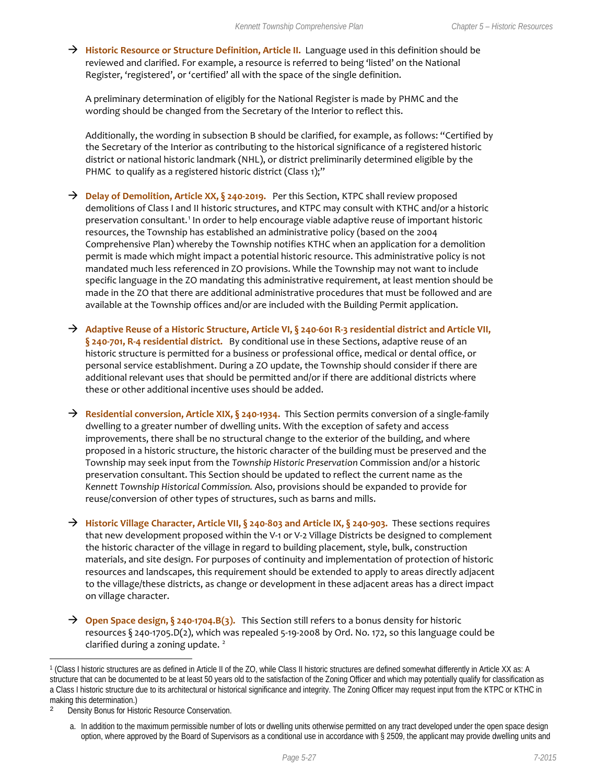→ **Historic Resource or Structure Definition, Article II.** Language used in this definition should be reviewed and clarified. For example, a resource is referred to being 'listed' on the National Register, 'registered', or 'certified' all with the space of the single definition.

A preliminary determination of eligibly for the National Register is made by PHMC and the wording should be changed from the Secretary of the Interior to reflect this.

Additionally, the wording in subsection B should be clarified, for example, as follows: "Certified by the Secretary of the Interior as contributing to the historical significance of a registered historic district or national historic landmark (NHL), or district preliminarily determined eligible by the PHMC to qualify as a registered historic district (Class 1);"

- → **Delay of Demolition, Article XX, § 240-2019.** Per this Section, KTPC shall review proposed demolitions of Class I and II historic structures, and KTPC may consult with KTHC and/or a historic preservation consultant.[1](#page-26-0) In order to help encourage viable adaptive reuse of important historic resources, the Township has established an administrative policy (based on the 2004 Comprehensive Plan) whereby the Township notifies KTHC when an application for a demolition permit is made which might impact a potential historic resource. This administrative policy is not mandated much less referenced in ZO provisions. While the Township may not want to include specific language in the ZO mandating this administrative requirement, at least mention should be made in the ZO that there are additional administrative procedures that must be followed and are available at the Township offices and/or are included with the Building Permit application.
- **Adaptive Reuse of a Historic Structure, Article VI, § 240-601 R-3 residential district and Article VII, § 240-701, R-4 residential district.** By conditional use in these Sections, adaptive reuse of an historic structure is permitted for a business or professional office, medical or dental office, or personal service establishment. During a ZO update, the Township should consider if there are additional relevant uses that should be permitted and/or if there are additional districts where these or other additional incentive uses should be added.
- **Residential conversion, Article XIX, § 240-1934.** This Section permits conversion of a single-family dwelling to a greater number of dwelling units. With the exception of safety and access improvements, there shall be no structural change to the exterior of the building, and where proposed in a historic structure, the historic character of the building must be preserved and the Township may seek input from the *Township Historic Preservation* Commission and/or a historic preservation consultant. This Section should be updated to reflect the current name as the *Kennett Township Historical Commission.* Also, provisions should be expanded to provide for reuse/conversion of other types of structures, such as barns and mills.
- **Historic Village Character, Article VII, § 240-803 and Article IX, § 240-903.** These sections requires that new development proposed within the V-1 or V-2 Village Districts be designed to complement the historic character of the village in regard to building placement, style, bulk, construction materials, and site design. For purposes of continuity and implementation of protection of historic resources and landscapes, this requirement should be extended to apply to areas directly adjacent to the village/these districts, as change or development in these adjacent areas has a direct impact on village character.
- → Open Space design, § 240-1704.B(3). This Section still refers to a bonus density for historic resources § 240-1705.D(2), which was repealed 5-19-2008 by Ord. No. 172, so this language could be clarified during a zoning update.<sup>[2](#page-26-1)</sup>

 $\overline{a}$ 

<span id="page-26-0"></span><sup>1</sup> (Class I historic structures are as defined in Article II of the ZO, while Class II historic structures are defined somewhat differently in Article XX as: A structure that can be documented to be at least 50 years old to the satisfaction of the Zoning Officer and which may potentially qualify for classification as a Class I historic structure due to its architectural or historical significance and integrity. The Zoning Officer may request input from the KTPC or KTHC in making this determination.)

<span id="page-26-1"></span><sup>2</sup> Density Bonus for Historic Resource Conservation.

a. In addition to the maximum permissible number of lots or dwelling units otherwise permitted on any tract developed under the open space design option, where approved by the Board of Supervisors as a conditional use in accordance with § 2509, the applicant may provide dwelling units and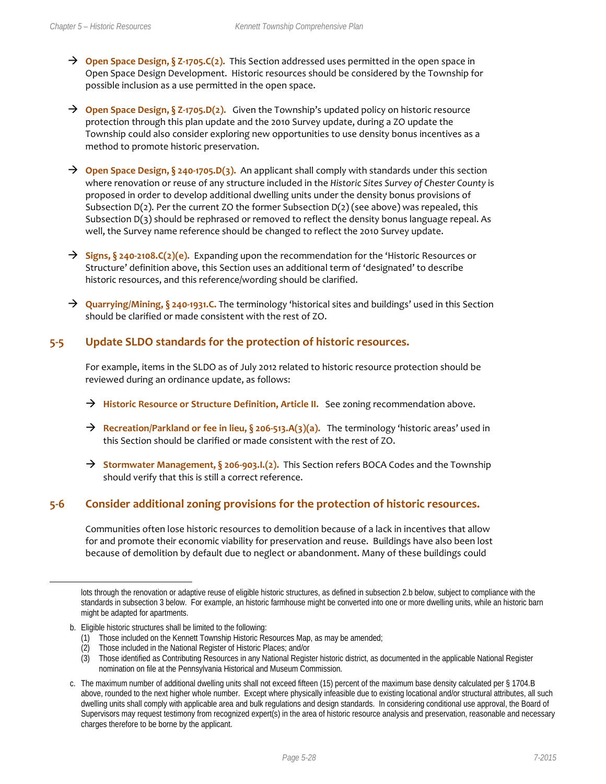- **Open Space Design, § Z-1705.C(2).** This Section addressed uses permitted in the open space in Open Space Design Development. Historic resources should be considered by the Township for possible inclusion as a use permitted in the open space.
- → Open Space Design, § Z-1705.D(2). Given the Township's updated policy on historic resource protection through this plan update and the 2010 Survey update, during a ZO update the Township could also consider exploring new opportunities to use density bonus incentives as a method to promote historic preservation.
- **Open Space Design, § 240-1705.D(3).** An applicant shall comply with standards under this section where renovation or reuse of any structure included in the *Historic Sites Survey of Chester County* is proposed in order to develop additional dwelling units under the density bonus provisions of Subsection  $D(2)$ . Per the current ZO the former Subsection  $D(2)$  (see above) was repealed, this Subsection D(3) should be rephrased or removed to reflect the density bonus language repeal. As well, the Survey name reference should be changed to reflect the 2010 Survey update.
- → Signs, § 240-2108.C(2)(e). Expanding upon the recommendation for the 'Historic Resources or Structure' definition above, this Section uses an additional term of 'designated' to describe historic resources, and this reference/wording should be clarified.
- **Quarrying/Mining, § 240-1931.C.** The terminology 'historical sites and buildings' used in this Section should be clarified or made consistent with the rest of ZO.

#### **5-5 Update SLDO standards for the protection of historic resources.**

For example, items in the SLDO as of July 2012 related to historic resource protection should be reviewed during an ordinance update, as follows:

- → Historic Resource or Structure Definition, Article II. See zoning recommendation above.
- **Recreation/Parkland or fee in lieu, § 206-513.A(3)(a).** The terminology 'historic areas' used in this Section should be clarified or made consistent with the rest of ZO.
- → **Stormwater Management, § 206-903.I.(2).** This Section refers BOCA Codes and the Township should verify that this is still a correct reference.

#### **5-6 Consider additional zoning provisions for the protection of historic resources.**

Communities often lose historic resources to demolition because of a lack in incentives that allow for and promote their economic viability for preservation and reuse. Buildings have also been lost because of demolition by default due to neglect or abandonment. Many of these buildings could

 $\overline{a}$ 

lots through the renovation or adaptive reuse of eligible historic structures, as defined in subsection 2.b below, subject to compliance with the standards in subsection 3 below. For example, an historic farmhouse might be converted into one or more dwelling units, while an historic barn might be adapted for apartments.

b. Eligible historic structures shall be limited to the following:

<sup>(1)</sup> Those included on the Kennett Township Historic Resources Map, as may be amended;

<sup>(2)</sup> Those included in the National Register of Historic Places; and/or

<sup>(3)</sup> Those identified as Contributing Resources in any National Register historic district, as documented in the applicable National Register nomination on file at the Pennsylvania Historical and Museum Commission.

c. The maximum number of additional dwelling units shall not exceed fifteen (15) percent of the maximum base density calculated per § 1704.B above, rounded to the next higher whole number. Except where physically infeasible due to existing locational and/or structural attributes, all such dwelling units shall comply with applicable area and bulk regulations and design standards. In considering conditional use approval, the Board of Supervisors may request testimony from recognized expert(s) in the area of historic resource analysis and preservation, reasonable and necessary charges therefore to be borne by the applicant.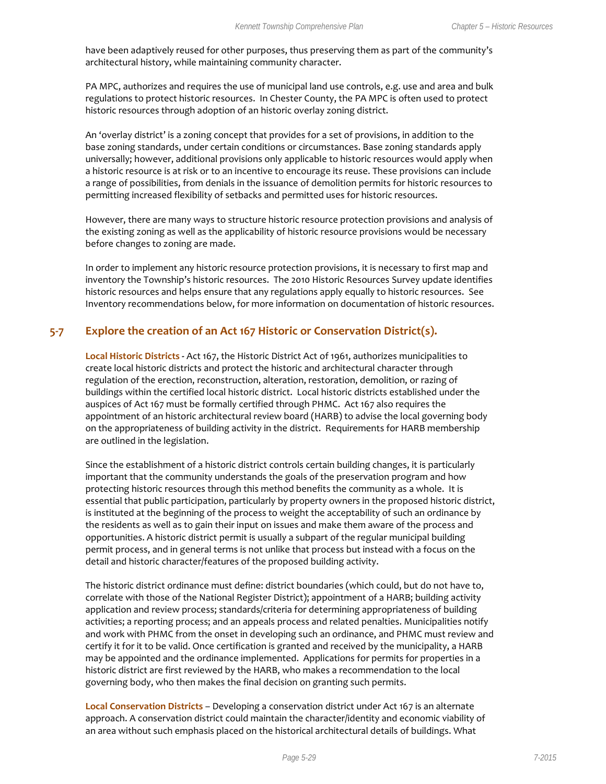have been adaptively reused for other purposes, thus preserving them as part of the community's architectural history, while maintaining community character.

PA MPC, authorizes and requires the use of municipal land use controls, e.g. use and area and bulk regulations to protect historic resources. In Chester County, the PA MPC is often used to protect historic resources through adoption of an historic overlay zoning district.

An 'overlay district' is a zoning concept that provides for a set of provisions, in addition to the base zoning standards, under certain conditions or circumstances. Base zoning standards apply universally; however, additional provisions only applicable to historic resources would apply when a historic resource is at risk or to an incentive to encourage its reuse. These provisions can include a range of possibilities, from denials in the issuance of demolition permits for historic resources to permitting increased flexibility of setbacks and permitted uses for historic resources.

However, there are many ways to structure historic resource protection provisions and analysis of the existing zoning as well as the applicability of historic resource provisions would be necessary before changes to zoning are made.

In order to implement any historic resource protection provisions, it is necessary to first map and inventory the Township's historic resources. The 2010 Historic Resources Survey update identifies historic resources and helps ensure that any regulations apply equally to historic resources. See Inventory recommendations below, for more information on documentation of historic resources.

#### **5-7 Explore the creation of an Act 167 Historic or Conservation District(s).**

**Local Historic Districts -** Act 167, the Historic District Act of 1961, authorizes municipalities to create local historic districts and protect the historic and architectural character through regulation of the erection, reconstruction, alteration, restoration, demolition, or razing of buildings within the certified local historic district. Local historic districts established under the auspices of Act 167 must be formally certified through PHMC. Act 167 also requires the appointment of an historic architectural review board (HARB) to advise the local governing body on the appropriateness of building activity in the district. Requirements for HARB membership are outlined in the legislation.

Since the establishment of a historic district controls certain building changes, it is particularly important that the community understands the goals of the preservation program and how protecting historic resources through this method benefits the community as a whole. It is essential that public participation, particularly by property owners in the proposed historic district, is instituted at the beginning of the process to weight the acceptability of such an ordinance by the residents as well as to gain their input on issues and make them aware of the process and opportunities. A historic district permit is usually a subpart of the regular municipal building permit process, and in general terms is not unlike that process but instead with a focus on the detail and historic character/features of the proposed building activity.

The historic district ordinance must define: district boundaries (which could, but do not have to, correlate with those of the National Register District); appointment of a HARB; building activity application and review process; standards/criteria for determining appropriateness of building activities; a reporting process; and an appeals process and related penalties. Municipalities notify and work with PHMC from the onset in developing such an ordinance, and PHMC must review and certify it for it to be valid. Once certification is granted and received by the municipality, a HARB may be appointed and the ordinance implemented. Applications for permits for properties in a historic district are first reviewed by the HARB, who makes a recommendation to the local governing body, who then makes the final decision on granting such permits.

**Local Conservation Districts** – Developing a conservation district under Act 167 is an alternate approach. A conservation district could maintain the character/identity and economic viability of an area without such emphasis placed on the historical architectural details of buildings. What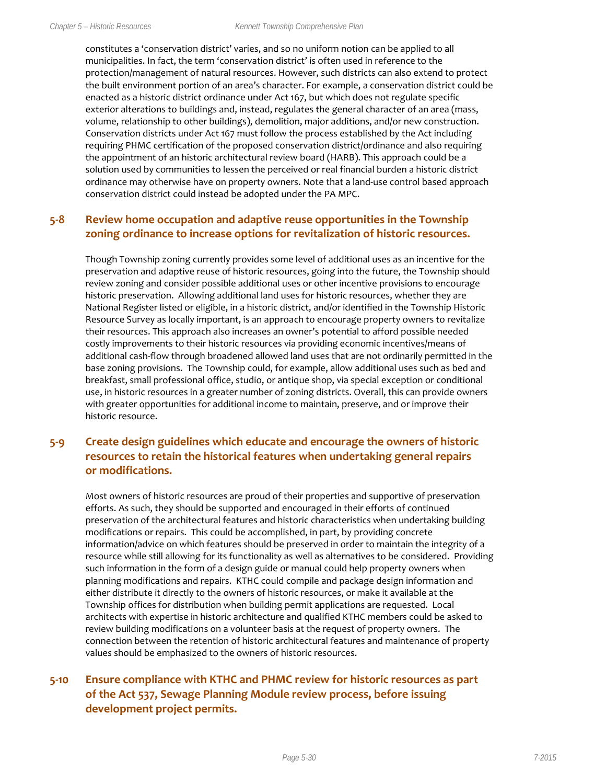constitutes a 'conservation district' varies, and so no uniform notion can be applied to all municipalities. In fact, the term 'conservation district' is often used in reference to the protection/management of natural resources. However, such districts can also extend to protect the built environment portion of an area's character. For example, a conservation district could be enacted as a historic district ordinance under Act 167, but which does not regulate specific exterior alterations to buildings and, instead, regulates the general character of an area (mass, volume, relationship to other buildings), demolition, major additions, and/or new construction. Conservation districts under Act 167 must follow the process established by the Act including requiring PHMC certification of the proposed conservation district/ordinance and also requiring the appointment of an historic architectural review board (HARB). This approach could be a solution used by communities to lessen the perceived or real financial burden a historic district ordinance may otherwise have on property owners. Note that a land-use control based approach conservation district could instead be adopted under the PA MPC.

#### **5-8 Review home occupation and adaptive reuse opportunities in the Township zoning ordinance to increase options for revitalization of historic resources.**

Though Township zoning currently provides some level of additional uses as an incentive for the preservation and adaptive reuse of historic resources, going into the future, the Township should review zoning and consider possible additional uses or other incentive provisions to encourage historic preservation. Allowing additional land uses for historic resources, whether they are National Register listed or eligible, in a historic district, and/or identified in the Township Historic Resource Survey as locally important, is an approach to encourage property owners to revitalize their resources. This approach also increases an owner's potential to afford possible needed costly improvements to their historic resources via providing economic incentives/means of additional cash-flow through broadened allowed land uses that are not ordinarily permitted in the base zoning provisions. The Township could, for example, allow additional uses such as bed and breakfast, small professional office, studio, or antique shop, via special exception or conditional use, in historic resources in a greater number of zoning districts. Overall, this can provide owners with greater opportunities for additional income to maintain, preserve, and or improve their historic resource.

#### **5-9 Create design guidelines which educate and encourage the owners of historic resources to retain the historical features when undertaking general repairs or modifications.**

Most owners of historic resources are proud of their properties and supportive of preservation efforts. As such, they should be supported and encouraged in their efforts of continued preservation of the architectural features and historic characteristics when undertaking building modifications or repairs. This could be accomplished, in part, by providing concrete information/advice on which features should be preserved in order to maintain the integrity of a resource while still allowing for its functionality as well as alternatives to be considered. Providing such information in the form of a design guide or manual could help property owners when planning modifications and repairs. KTHC could compile and package design information and either distribute it directly to the owners of historic resources, or make it available at the Township offices for distribution when building permit applications are requested. Local architects with expertise in historic architecture and qualified KTHC members could be asked to review building modifications on a volunteer basis at the request of property owners. The connection between the retention of historic architectural features and maintenance of property values should be emphasized to the owners of historic resources.

#### **5-10 Ensure compliance with KTHC and PHMC review for historic resources as part of the Act 537, Sewage Planning Module review process, before issuing development project permits.**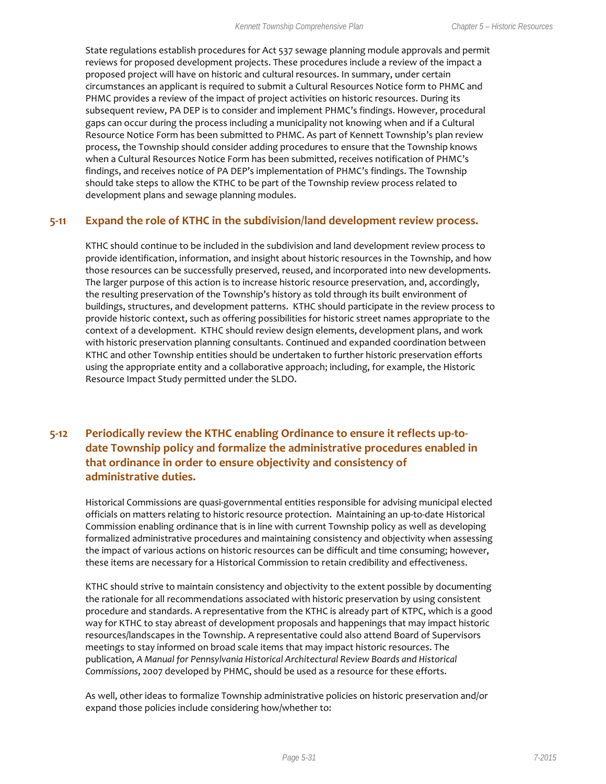State regulations establish procedures for Act 537 sewage planning module approvals and permit reviews for proposed development projects. These procedures include a review of the impact a proposed project will have on historic and cultural resources. In summary, under certain circumstances an applicant is required to submit a Cultural Resources Notice form to PHMC and PHMC provides a review of the impact of project activities on historic resources. During its subsequent review, PA DEP is to consider and implement PHMC's findings. However, procedural gaps can occur during the process including a municipality not knowing when and if a Cultural Resource Notice Form has been submitted to PHMC. As part of Kennett Township's plan review process, the Township should consider adding procedures to ensure that the Township knows when a Cultural Resources Notice Form has been submitted, receives notification of PHMC's findings, and receives notice of PA DEP's implementation of PHMC's findings. The Township should take steps to allow the KTHC to be part of the Township review process related to development plans and sewage planning modules.

#### **5-11 Expand the role of KTHC in the subdivision/land development review process.**

KTHC should continue to be included in the subdivision and land development review process to provide identification, information, and insight about historic resources in the Township, and how those resources can be successfully preserved, reused, and incorporated into new developments. The larger purpose of this action is to increase historic resource preservation, and, accordingly, the resulting preservation of the Township's history as told through its built environment of buildings, structures, and development patterns. KTHC should participate in the review process to provide historic context, such as offering possibilities for historic street names appropriate to the context of a development. KTHC should review design elements, development plans, and work with historic preservation planning consultants. Continued and expanded coordination between KTHC and other Township entities should be undertaken to further historic preservation efforts using the appropriate entity and a collaborative approach; including, for example, the Historic Resource Impact Study permitted under the SLDO.

#### **5-12 Periodically review the KTHC enabling Ordinance to ensure it reflects up-todate Township policy and formalize the administrative procedures enabled in that ordinance in order to ensure objectivity and consistency of administrative duties.**

Historical Commissions are quasi-governmental entities responsible for advising municipal elected officials on matters relating to historic resource protection. Maintaining an up-to-date Historical Commission enabling ordinance that is in line with current Township policy as well as developing formalized administrative procedures and maintaining consistency and objectivity when assessing the impact of various actions on historic resources can be difficult and time consuming; however, these items are necessary for a Historical Commission to retain credibility and effectiveness.

KTHC should strive to maintain consistency and objectivity to the extent possible by documenting the rationale for all recommendations associated with historic preservation by using consistent procedure and standards. A representative from the KTHC is already part of KTPC, which is a good way for KTHC to stay abreast of development proposals and happenings that may impact historic resources/landscapes in the Township. A representative could also attend Board of Supervisors meetings to stay informed on broad scale items that may impact historic resources. The publication, *A Manual for Pennsylvania Historical Architectural Review Boards and Historical Commissions*, 2007 developed by PHMC, should be used as a resource for these efforts.

As well, other ideas to formalize Township administrative policies on historic preservation and/or expand those policies include considering how/whether to: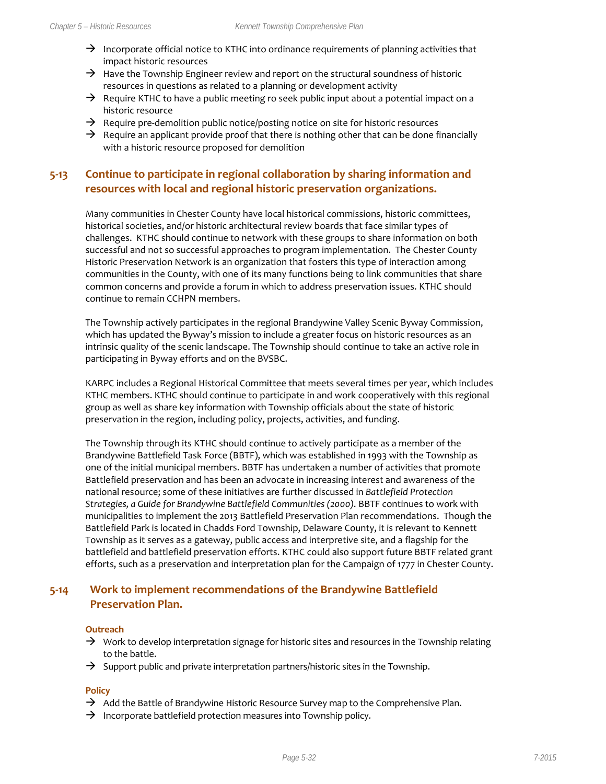- $\rightarrow$  Incorporate official notice to KTHC into ordinance requirements of planning activities that impact historic resources
- $\rightarrow$  Have the Township Engineer review and report on the structural soundness of historic resources in questions as related to a planning or development activity
- $\rightarrow$  Require KTHC to have a public meeting ro seek public input about a potential impact on a historic resource
- $\rightarrow$  Require pre-demolition public notice/posting notice on site for historic resources
- $\rightarrow$  Require an applicant provide proof that there is nothing other that can be done financially with a historic resource proposed for demolition

#### **5-13 Continue to participate in regional collaboration by sharing information and resources with local and regional historic preservation organizations.**

Many communities in Chester County have local historical commissions, historic committees, historical societies, and/or historic architectural review boards that face similar types of challenges. KTHC should continue to network with these groups to share information on both successful and not so successful approaches to program implementation. The Chester County Historic Preservation Network is an organization that fosters this type of interaction among communities in the County, with one of its many functions being to link communities that share common concerns and provide a forum in which to address preservation issues. KTHC should continue to remain CCHPN members.

The Township actively participates in the regional Brandywine Valley Scenic Byway Commission, which has updated the Byway's mission to include a greater focus on historic resources as an intrinsic quality of the scenic landscape. The Township should continue to take an active role in participating in Byway efforts and on the BVSBC.

KARPC includes a Regional Historical Committee that meets several times per year, which includes KTHC members. KTHC should continue to participate in and work cooperatively with this regional group as well as share key information with Township officials about the state of historic preservation in the region, including policy, projects, activities, and funding.

The Township through its KTHC should continue to actively participate as a member of the Brandywine Battlefield Task Force (BBTF), which was established in 1993 with the Township as one of the initial municipal members. BBTF has undertaken a number of activities that promote Battlefield preservation and has been an advocate in increasing interest and awareness of the national resource; some of these initiatives are further discussed in *Battlefield Protection Strategies, a Guide for Brandywine Battlefield Communities (2000).* BBTF continues to work with municipalities to implement the 2013 Battlefield Preservation Plan recommendations. Though the Battlefield Park is located in Chadds Ford Township, Delaware County, it is relevant to Kennett Township as it serves as a gateway, public access and interpretive site, and a flagship for the battlefield and battlefield preservation efforts. KTHC could also support future BBTF related grant efforts, such as a preservation and interpretation plan for the Campaign of 1777 in Chester County.

#### **5-14 Work to implement recommendations of the Brandywine Battlefield Preservation Plan.**

#### **Outreach**

- $\rightarrow$  Work to develop interpretation signage for historic sites and resources in the Township relating to the battle.
- $\rightarrow$  Support public and private interpretation partners/historic sites in the Township.

#### **Policy**

- $\rightarrow$  Add the Battle of Brandywine Historic Resource Survey map to the Comprehensive Plan.
- $\rightarrow$  Incorporate battlefield protection measures into Township policy.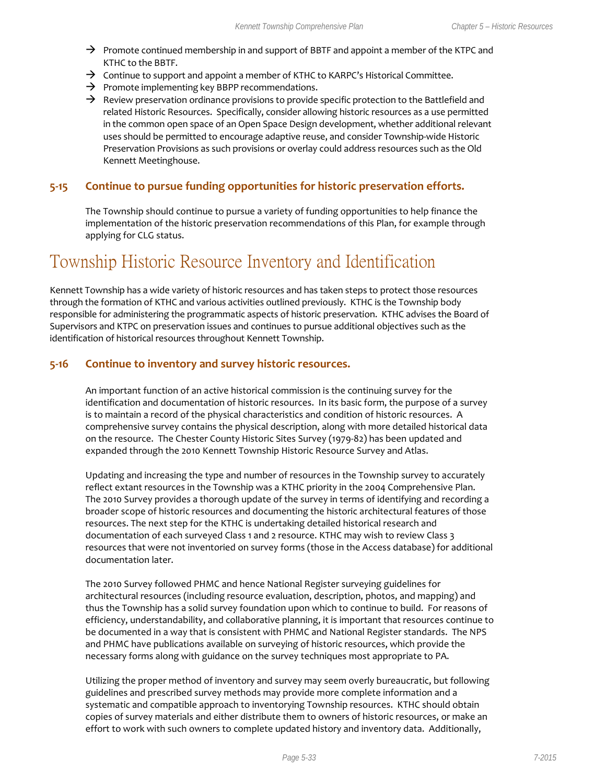- $\rightarrow$  Promote continued membership in and support of BBTF and appoint a member of the KTPC and KTHC to the BBTF.
- $\rightarrow$  Continue to support and appoint a member of KTHC to KARPC's Historical Committee.
- $\rightarrow$  Promote implementing key BBPP recommendations.
- $\rightarrow$  Review preservation ordinance provisions to provide specific protection to the Battlefield and related Historic Resources. Specifically, consider allowing historic resources as a use permitted in the common open space of an Open Space Design development, whether additional relevant uses should be permitted to encourage adaptive reuse, and consider Township-wide Historic Preservation Provisions as such provisions or overlay could address resources such as the Old Kennett Meetinghouse.

#### **5-15 Continue to pursue funding opportunities for historic preservation efforts.**

The Township should continue to pursue a variety of funding opportunities to help finance the implementation of the historic preservation recommendations of this Plan, for example through applying for CLG status.

## Township Historic Resource Inventory and Identification

Kennett Township has a wide variety of historic resources and has taken steps to protect those resources through the formation of KTHC and various activities outlined previously. KTHC is the Township body responsible for administering the programmatic aspects of historic preservation. KTHC advises the Board of Supervisors and KTPC on preservation issues and continues to pursue additional objectives such as the identification of historical resources throughout Kennett Township.

#### **5-16 Continue to inventory and survey historic resources.**

An important function of an active historical commission is the continuing survey for the identification and documentation of historic resources. In its basic form, the purpose of a survey is to maintain a record of the physical characteristics and condition of historic resources. A comprehensive survey contains the physical description, along with more detailed historical data on the resource. The Chester County Historic Sites Survey (1979-82) has been updated and expanded through the 2010 Kennett Township Historic Resource Survey and Atlas.

Updating and increasing the type and number of resources in the Township survey to accurately reflect extant resources in the Township was a KTHC priority in the 2004 Comprehensive Plan. The 2010 Survey provides a thorough update of the survey in terms of identifying and recording a broader scope of historic resources and documenting the historic architectural features of those resources. The next step for the KTHC is undertaking detailed historical research and documentation of each surveyed Class 1 and 2 resource. KTHC may wish to review Class 3 resources that were not inventoried on survey forms (those in the Access database) for additional documentation later.

The 2010 Survey followed PHMC and hence National Register surveying guidelines for architectural resources (including resource evaluation, description, photos, and mapping) and thus the Township has a solid survey foundation upon which to continue to build. For reasons of efficiency, understandability, and collaborative planning, it is important that resources continue to be documented in a way that is consistent with PHMC and National Register standards. The NPS and PHMC have publications available on surveying of historic resources, which provide the necessary forms along with guidance on the survey techniques most appropriate to PA.

Utilizing the proper method of inventory and survey may seem overly bureaucratic, but following guidelines and prescribed survey methods may provide more complete information and a systematic and compatible approach to inventorying Township resources. KTHC should obtain copies of survey materials and either distribute them to owners of historic resources, or make an effort to work with such owners to complete updated history and inventory data. Additionally,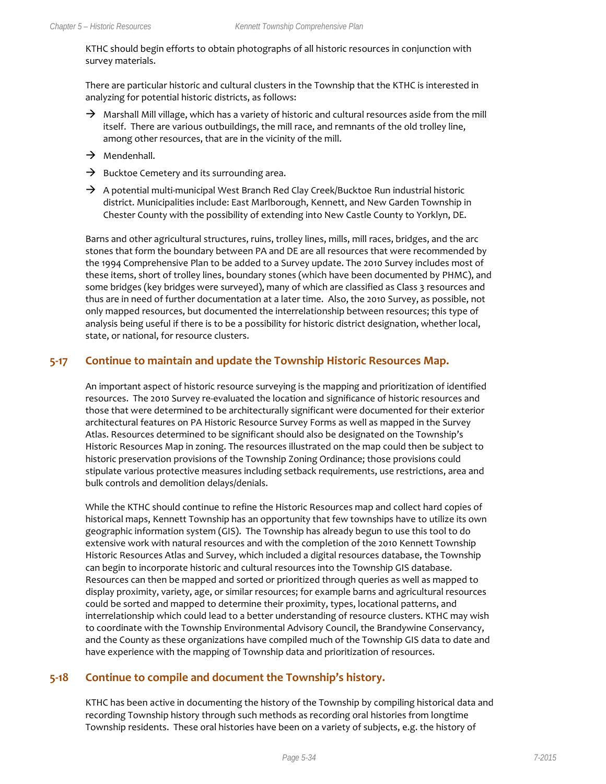KTHC should begin efforts to obtain photographs of all historic resources in conjunction with survey materials.

There are particular historic and cultural clusters in the Township that the KTHC is interested in analyzing for potential historic districts, as follows:

- $\rightarrow$  Marshall Mill village, which has a variety of historic and cultural resources aside from the mill itself. There are various outbuildings, the mill race, and remnants of the old trolley line, among other resources, that are in the vicinity of the mill.
- $\rightarrow$  Mendenhall.
- $\rightarrow$  Bucktoe Cemetery and its surrounding area.
- $\rightarrow$  A potential multi-municipal West Branch Red Clay Creek/Bucktoe Run industrial historic district. Municipalities include: East Marlborough, Kennett, and New Garden Township in Chester County with the possibility of extending into New Castle County to Yorklyn, DE.

Barns and other agricultural structures, ruins, trolley lines, mills, mill races, bridges, and the arc stones that form the boundary between PA and DE are all resources that were recommended by the 1994 Comprehensive Plan to be added to a Survey update. The 2010 Survey includes most of these items, short of trolley lines, boundary stones (which have been documented by PHMC), and some bridges (key bridges were surveyed), many of which are classified as Class 3 resources and thus are in need of further documentation at a later time. Also, the 2010 Survey, as possible, not only mapped resources, but documented the interrelationship between resources; this type of analysis being useful if there is to be a possibility for historic district designation, whether local, state, or national, for resource clusters.

#### **5-17 Continue to maintain and update the Township Historic Resources Map.**

An important aspect of historic resource surveying is the mapping and prioritization of identified resources. The 2010 Survey re-evaluated the location and significance of historic resources and those that were determined to be architecturally significant were documented for their exterior architectural features on PA Historic Resource Survey Forms as well as mapped in the Survey Atlas. Resources determined to be significant should also be designated on the Township's Historic Resources Map in zoning. The resources illustrated on the map could then be subject to historic preservation provisions of the Township Zoning Ordinance; those provisions could stipulate various protective measures including setback requirements, use restrictions, area and bulk controls and demolition delays/denials.

While the KTHC should continue to refine the Historic Resources map and collect hard copies of historical maps, Kennett Township has an opportunity that few townships have to utilize its own geographic information system (GIS). The Township has already begun to use this tool to do extensive work with natural resources and with the completion of the 2010 Kennett Township Historic Resources Atlas and Survey, which included a digital resources database, the Township can begin to incorporate historic and cultural resources into the Township GIS database. Resources can then be mapped and sorted or prioritized through queries as well as mapped to display proximity, variety, age, or similar resources; for example barns and agricultural resources could be sorted and mapped to determine their proximity, types, locational patterns, and interrelationship which could lead to a better understanding of resource clusters. KTHC may wish to coordinate with the Township Environmental Advisory Council, the Brandywine Conservancy, and the County as these organizations have compiled much of the Township GIS data to date and have experience with the mapping of Township data and prioritization of resources.

#### **5-18 Continue to compile and document the Township's history.**

KTHC has been active in documenting the history of the Township by compiling historical data and recording Township history through such methods as recording oral histories from longtime Township residents. These oral histories have been on a variety of subjects, e.g. the history of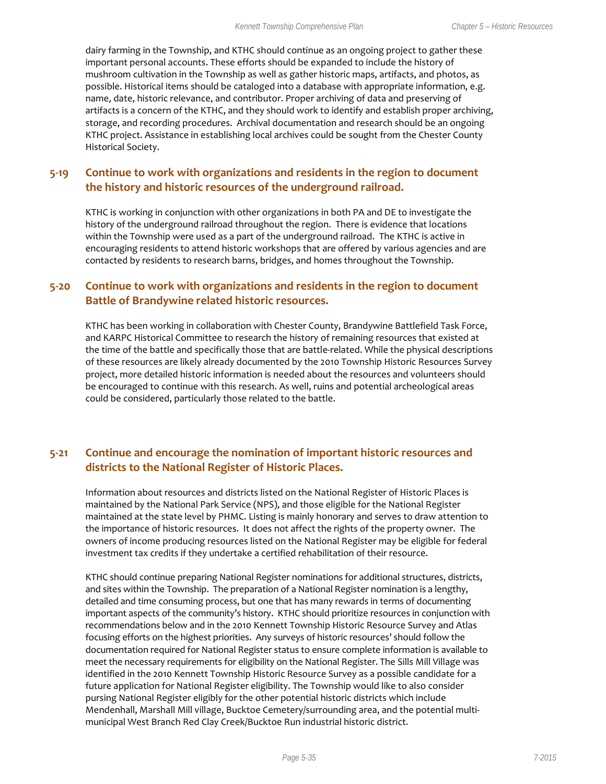dairy farming in the Township, and KTHC should continue as an ongoing project to gather these important personal accounts. These efforts should be expanded to include the history of mushroom cultivation in the Township as well as gather historic maps, artifacts, and photos, as possible. Historical items should be cataloged into a database with appropriate information, e.g. name, date, historic relevance, and contributor. Proper archiving of data and preserving of artifacts is a concern of the KTHC, and they should work to identify and establish proper archiving, storage, and recording procedures. Archival documentation and research should be an ongoing KTHC project. Assistance in establishing local archives could be sought from the Chester County Historical Society.

#### **5-19 Continue to work with organizations and residents in the region to document the history and historic resources of the underground railroad.**

KTHC is working in conjunction with other organizations in both PA and DE to investigate the history of the underground railroad throughout the region. There is evidence that locations within the Township were used as a part of the underground railroad. The KTHC is active in encouraging residents to attend historic workshops that are offered by various agencies and are contacted by residents to research barns, bridges, and homes throughout the Township.

#### **5-20 Continue to work with organizations and residents in the region to document Battle of Brandywine related historic resources.**

KTHC has been working in collaboration with Chester County, Brandywine Battlefield Task Force, and KARPC Historical Committee to research the history of remaining resources that existed at the time of the battle and specifically those that are battle-related. While the physical descriptions of these resources are likely already documented by the 2010 Township Historic Resources Survey project, more detailed historic information is needed about the resources and volunteers should be encouraged to continue with this research. As well, ruins and potential archeological areas could be considered, particularly those related to the battle.

#### **5-21 Continue and encourage the nomination of important historic resources and districts to the National Register of Historic Places.**

Information about resources and districts listed on the National Register of Historic Places is maintained by the National Park Service (NPS), and those eligible for the National Register maintained at the state level by PHMC. Listing is mainly honorary and serves to draw attention to the importance of historic resources. It does not affect the rights of the property owner. The owners of income producing resources listed on the National Register may be eligible for federal investment tax credits if they undertake a certified rehabilitation of their resource.

KTHC should continue preparing National Register nominations for additional structures, districts, and sites within the Township. The preparation of a National Register nomination is a lengthy, detailed and time consuming process, but one that has many rewards in terms of documenting important aspects of the community's history. KTHC should prioritize resources in conjunction with recommendations below and in the 2010 Kennett Township Historic Resource Survey and Atlas focusing efforts on the highest priorities. Any surveys of historic resources' should follow the documentation required for National Register status to ensure complete information is available to meet the necessary requirements for eligibility on the National Register. The Sills Mill Village was identified in the 2010 Kennett Township Historic Resource Survey as a possible candidate for a future application for National Register eligibility. The Township would like to also consider pursing National Register eligibly for the other potential historic districts which include Mendenhall, Marshall Mill village, Bucktoe Cemetery/surrounding area, and the potential multimunicipal West Branch Red Clay Creek/Bucktoe Run industrial historic district.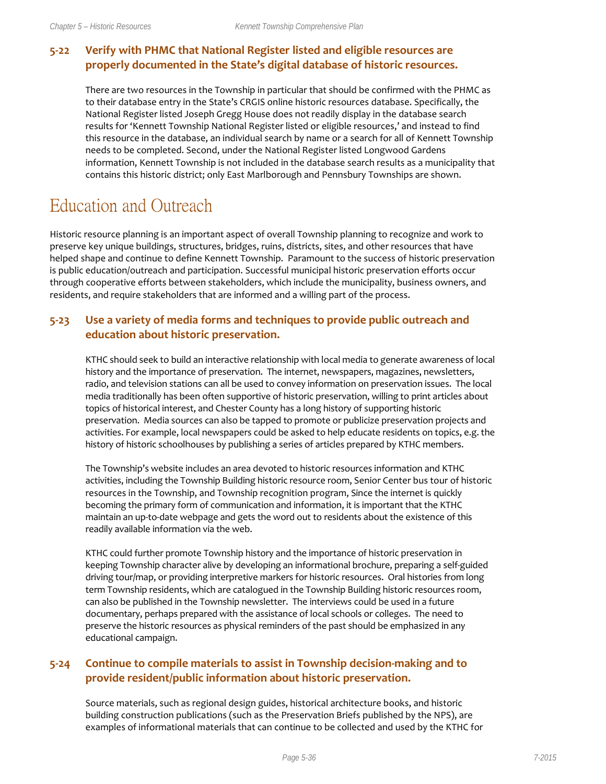#### **5-22 Verify with PHMC that National Register listed and eligible resources are properly documented in the State's digital database of historic resources.**

There are two resources in the Township in particular that should be confirmed with the PHMC as to their database entry in the State's CRGIS online historic resources database. Specifically, the National Register listed Joseph Gregg House does not readily display in the database search results for 'Kennett Township National Register listed or eligible resources,' and instead to find this resource in the database, an individual search by name or a search for all of Kennett Township needs to be completed. Second, under the National Register listed Longwood Gardens information, Kennett Township is not included in the database search results as a municipality that contains this historic district; only East Marlborough and Pennsbury Townships are shown.

## Education and Outreach

Historic resource planning is an important aspect of overall Township planning to recognize and work to preserve key unique buildings, structures, bridges, ruins, districts, sites, and other resources that have helped shape and continue to define Kennett Township. Paramount to the success of historic preservation is public education/outreach and participation. Successful municipal historic preservation efforts occur through cooperative efforts between stakeholders, which include the municipality, business owners, and residents, and require stakeholders that are informed and a willing part of the process.

#### **5-23 Use a variety of media forms and techniques to provide public outreach and education about historic preservation.**

KTHC should seek to build an interactive relationship with local media to generate awareness of local history and the importance of preservation. The internet, newspapers, magazines, newsletters, radio, and television stations can all be used to convey information on preservation issues. The local media traditionally has been often supportive of historic preservation, willing to print articles about topics of historical interest, and Chester County has a long history of supporting historic preservation. Media sources can also be tapped to promote or publicize preservation projects and activities. For example, local newspapers could be asked to help educate residents on topics, e.g. the history of historic schoolhouses by publishing a series of articles prepared by KTHC members.

The Township's website includes an area devoted to historic resources information and KTHC activities, including the Township Building historic resource room, Senior Center bus tour of historic resources in the Township, and Township recognition program, Since the internet is quickly becoming the primary form of communication and information, it is important that the KTHC maintain an up-to-date webpage and gets the word out to residents about the existence of this readily available information via the web.

KTHC could further promote Township history and the importance of historic preservation in keeping Township character alive by developing an informational brochure, preparing a self-guided driving tour/map, or providing interpretive markers for historic resources. Oral histories from long term Township residents, which are catalogued in the Township Building historic resources room, can also be published in the Township newsletter. The interviews could be used in a future documentary, perhaps prepared with the assistance of local schools or colleges. The need to preserve the historic resources as physical reminders of the past should be emphasized in any educational campaign.

#### **5-24 Continue to compile materials to assist in Township decision-making and to provide resident/public information about historic preservation.**

Source materials, such as regional design guides, historical architecture books, and historic building construction publications (such as the Preservation Briefs published by the NPS), are examples of informational materials that can continue to be collected and used by the KTHC for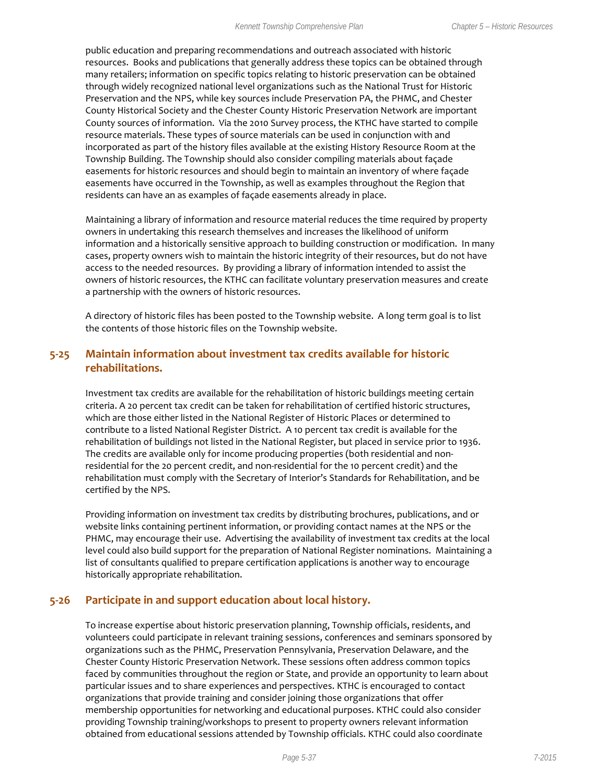public education and preparing recommendations and outreach associated with historic resources. Books and publications that generally address these topics can be obtained through many retailers; information on specific topics relating to historic preservation can be obtained through widely recognized national level organizations such as the National Trust for Historic Preservation and the NPS, while key sources include Preservation PA, the PHMC, and Chester County Historical Society and the Chester County Historic Preservation Network are important County sources of information. Via the 2010 Survey process, the KTHC have started to compile resource materials. These types of source materials can be used in conjunction with and incorporated as part of the history files available at the existing History Resource Room at the Township Building. The Township should also consider compiling materials about façade easements for historic resources and should begin to maintain an inventory of where façade easements have occurred in the Township, as well as examples throughout the Region that residents can have an as examples of façade easements already in place.

Maintaining a library of information and resource material reduces the time required by property owners in undertaking this research themselves and increases the likelihood of uniform information and a historically sensitive approach to building construction or modification. In many cases, property owners wish to maintain the historic integrity of their resources, but do not have access to the needed resources. By providing a library of information intended to assist the owners of historic resources, the KTHC can facilitate voluntary preservation measures and create a partnership with the owners of historic resources.

A directory of historic files has been posted to the Township website. A long term goal is to list the contents of those historic files on the Township website.

#### **5-25 Maintain information about investment tax credits available for historic rehabilitations.**

Investment tax credits are available for the rehabilitation of historic buildings meeting certain criteria. A 20 percent tax credit can be taken for rehabilitation of certified historic structures, which are those either listed in the National Register of Historic Places or determined to contribute to a listed National Register District. A 10 percent tax credit is available for the rehabilitation of buildings not listed in the National Register, but placed in service prior to 1936. The credits are available only for income producing properties (both residential and nonresidential for the 20 percent credit, and non-residential for the 10 percent credit) and the rehabilitation must comply with the Secretary of Interior's Standards for Rehabilitation, and be certified by the NPS.

Providing information on investment tax credits by distributing brochures, publications, and or website links containing pertinent information, or providing contact names at the NPS or the PHMC, may encourage their use. Advertising the availability of investment tax credits at the local level could also build support for the preparation of National Register nominations. Maintaining a list of consultants qualified to prepare certification applications is another way to encourage historically appropriate rehabilitation.

#### **5-26 Participate in and support education about local history.**

To increase expertise about historic preservation planning, Township officials, residents, and volunteers could participate in relevant training sessions, conferences and seminars sponsored by organizations such as the PHMC, Preservation Pennsylvania, Preservation Delaware, and the Chester County Historic Preservation Network. These sessions often address common topics faced by communities throughout the region or State, and provide an opportunity to learn about particular issues and to share experiences and perspectives. KTHC is encouraged to contact organizations that provide training and consider joining those organizations that offer membership opportunities for networking and educational purposes. KTHC could also consider providing Township training/workshops to present to property owners relevant information obtained from educational sessions attended by Township officials. KTHC could also coordinate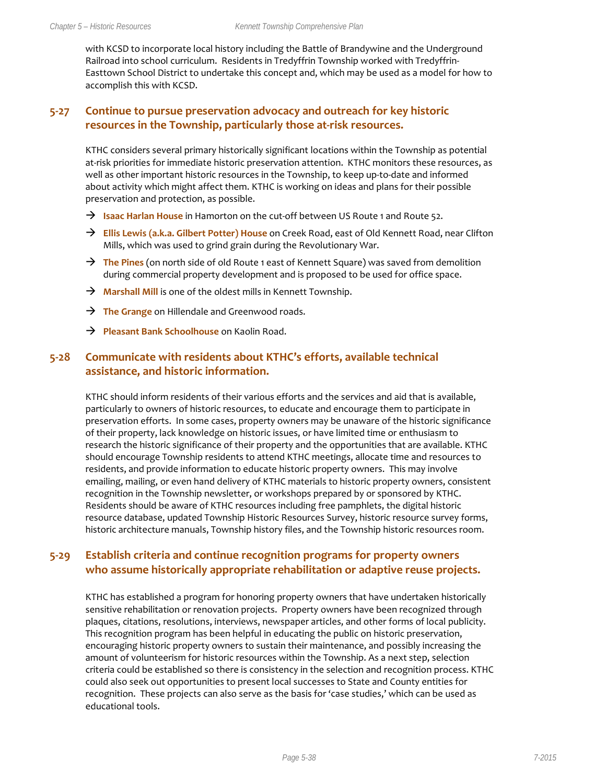with KCSD to incorporate local history including the Battle of Brandywine and the Underground Railroad into school curriculum. Residents in Tredyffrin Township worked with Tredyffrin-Easttown School District to undertake this concept and, which may be used as a model for how to accomplish this with KCSD.

#### **5-27 Continue to pursue preservation advocacy and outreach for key historic resources in the Township, particularly those at-risk resources.**

KTHC considers several primary historically significant locations within the Township as potential at-risk priorities for immediate historic preservation attention. KTHC monitors these resources, as well as other important historic resources in the Township, to keep up-to-date and informed about activity which might affect them. KTHC is working on ideas and plans for their possible preservation and protection, as possible.

- **Isaac Harlan House** in Hamorton on the cut-off between US Route 1 and Route 52.
- → **Ellis Lewis (a.k.a. Gilbert Potter) House** on Creek Road, east of Old Kennett Road, near Clifton Mills, which was used to grind grain during the Revolutionary War.
- → The Pines (on north side of old Route 1 east of Kennett Square) was saved from demolition during commercial property development and is proposed to be used for office space.
- → **Marshall Mill** is one of the oldest mills in Kennett Township.
- → **The Grange** on Hillendale and Greenwood roads.
- **Pleasant Bank Schoolhouse** on Kaolin Road.

#### **5-28 Communicate with residents about KTHC's efforts, available technical assistance, and historic information.**

KTHC should inform residents of their various efforts and the services and aid that is available, particularly to owners of historic resources, to educate and encourage them to participate in preservation efforts. In some cases, property owners may be unaware of the historic significance of their property, lack knowledge on historic issues, or have limited time or enthusiasm to research the historic significance of their property and the opportunities that are available. KTHC should encourage Township residents to attend KTHC meetings, allocate time and resources to residents, and provide information to educate historic property owners. This may involve emailing, mailing, or even hand delivery of KTHC materials to historic property owners, consistent recognition in the Township newsletter, or workshops prepared by or sponsored by KTHC. Residents should be aware of KTHC resources including free pamphlets, the digital historic resource database, updated Township Historic Resources Survey, historic resource survey forms, historic architecture manuals, Township history files, and the Township historic resources room.

#### **5-29 Establish criteria and continue recognition programs for property owners who assume historically appropriate rehabilitation or adaptive reuse projects.**

KTHC has established a program for honoring property owners that have undertaken historically sensitive rehabilitation or renovation projects. Property owners have been recognized through plaques, citations, resolutions, interviews, newspaper articles, and other forms of local publicity. This recognition program has been helpful in educating the public on historic preservation, encouraging historic property owners to sustain their maintenance, and possibly increasing the amount of volunteerism for historic resources within the Township. As a next step, selection criteria could be established so there is consistency in the selection and recognition process. KTHC could also seek out opportunities to present local successes to State and County entities for recognition. These projects can also serve as the basis for 'case studies,' which can be used as educational tools.